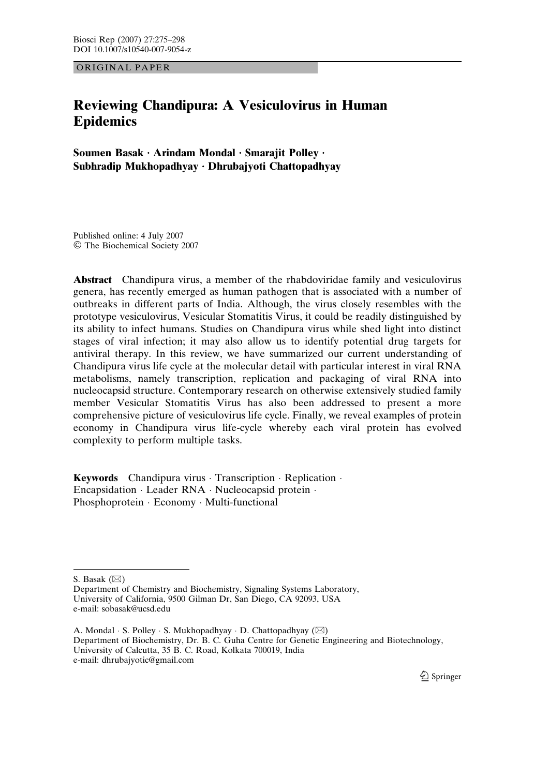ORIGINAL PAPER

# Reviewing Chandipura: A Vesiculovirus in Human Epidemics

Soumen Basak · Arindam Mondal · Smarajit Polley · Subhradip Mukhopadhyay · Dhrubajyoti Chattopadhyay

Published online: 4 July 2007 The Biochemical Society 2007

Abstract Chandipura virus, a member of the rhabdoviridae family and vesiculovirus genera, has recently emerged as human pathogen that is associated with a number of outbreaks in different parts of India. Although, the virus closely resembles with the prototype vesiculovirus, Vesicular Stomatitis Virus, it could be readily distinguished by its ability to infect humans. Studies on Chandipura virus while shed light into distinct stages of viral infection; it may also allow us to identify potential drug targets for antiviral therapy. In this review, we have summarized our current understanding of Chandipura virus life cycle at the molecular detail with particular interest in viral RNA metabolisms, namely transcription, replication and packaging of viral RNA into nucleocapsid structure. Contemporary research on otherwise extensively studied family member Vesicular Stomatitis Virus has also been addressed to present a more comprehensive picture of vesiculovirus life cycle. Finally, we reveal examples of protein economy in Chandipura virus life-cycle whereby each viral protein has evolved complexity to perform multiple tasks.

**Keywords** Chandipura virus  $\cdot$  Transcription  $\cdot$  Replication  $\cdot$ Encapsidation · Leader RNA · Nucleocapsid protein · Phosphoprotein · Economy · Multi-functional

S. Basak  $(\boxtimes)$ 

Department of Chemistry and Biochemistry, Signaling Systems Laboratory, University of California, 9500 Gilman Dr, San Diego, CA 92093, USA e-mail: sobasak@ucsd.edu

<sup>2</sup> Springer

A. Mondal  $\cdot$  S. Polley  $\cdot$  S. Mukhopadhyay  $\cdot$  D. Chattopadhyay ( $\boxtimes$ ) Department of Biochemistry, Dr. B. C. Guha Centre for Genetic Engineering and Biotechnology, University of Calcutta, 35 B. C. Road, Kolkata 700019, India e-mail: dhrubajyotic@gmail.com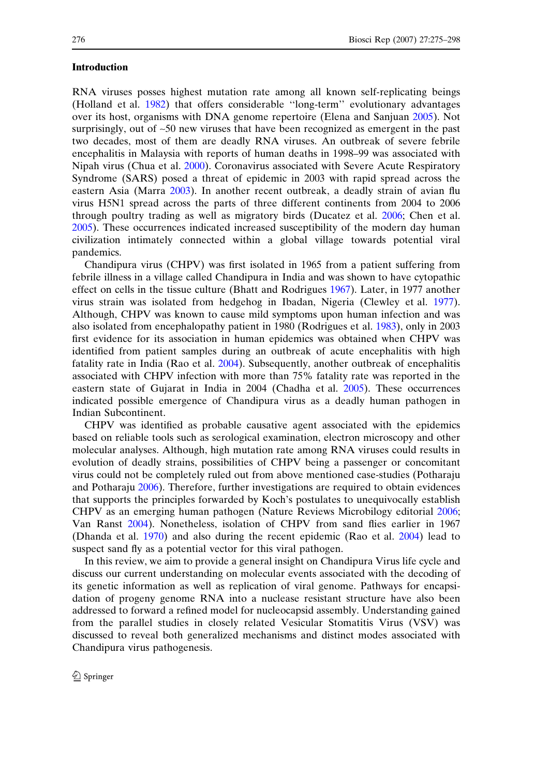#### Introduction

RNA viruses posses highest mutation rate among all known self-replicating beings (Holland et al. [1982\)](#page-21-0) that offers considerable ''long-term'' evolutionary advantages over its host, organisms with DNA genome repertoire (Elena and Sanjuan [2005\)](#page-20-0). Not surprisingly, out of ~50 new viruses that have been recognized as emergent in the past two decades, most of them are deadly RNA viruses. An outbreak of severe febrile encephalitis in Malaysia with reports of human deaths in 1998–99 was associated with Nipah virus (Chua et al. [2000\)](#page-20-0). Coronavirus associated with Severe Acute Respiratory Syndrome (SARS) posed a threat of epidemic in 2003 with rapid spread across the eastern Asia (Marra [2003\)](#page-21-0). In another recent outbreak, a deadly strain of avian flu virus H5N1 spread across the parts of three different continents from 2004 to 2006 through poultry trading as well as migratory birds (Ducatez et al. [2006](#page-20-0); Chen et al. [2005\)](#page-20-0). These occurrences indicated increased susceptibility of the modern day human civilization intimately connected within a global village towards potential viral pandemics.

Chandipura virus (CHPV) was first isolated in 1965 from a patient suffering from febrile illness in a village called Chandipura in India and was shown to have cytopathic effect on cells in the tissue culture (Bhatt and Rodrigues [1967](#page-19-0)). Later, in 1977 another virus strain was isolated from hedgehog in Ibadan, Nigeria (Clewley et al. [1977\)](#page-20-0). Although, CHPV was known to cause mild symptoms upon human infection and was also isolated from encephalopathy patient in 1980 (Rodrigues et al. [1983\)](#page-22-0), only in 2003 first evidence for its association in human epidemics was obtained when CHPV was identified from patient samples during an outbreak of acute encephalitis with high fatality rate in India (Rao et al. [2004](#page-22-0)). Subsequently, another outbreak of encephalitis associated with CHPV infection with more than 75% fatality rate was reported in the eastern state of Gujarat in India in 2004 (Chadha et al. [2005\)](#page-20-0). These occurrences indicated possible emergence of Chandipura virus as a deadly human pathogen in Indian Subcontinent.

CHPV was identified as probable causative agent associated with the epidemics based on reliable tools such as serological examination, electron microscopy and other molecular analyses. Although, high mutation rate among RNA viruses could results in evolution of deadly strains, possibilities of CHPV being a passenger or concomitant virus could not be completely ruled out from above mentioned case-studies (Potharaju and Potharaju [2006](#page-22-0)). Therefore, further investigations are required to obtain evidences that supports the principles forwarded by Koch's postulates to unequivocally establish CHPV as an emerging human pathogen (Nature Reviews Microbilogy editorial [2006;](#page-22-0) Van Ranst [2004\)](#page-23-0). Nonetheless, isolation of CHPV from sand flies earlier in 1967 (Dhanda et al. [1970\)](#page-20-0) and also during the recent epidemic (Rao et al. [2004](#page-22-0)) lead to suspect sand fly as a potential vector for this viral pathogen.

In this review, we aim to provide a general insight on Chandipura Virus life cycle and discuss our current understanding on molecular events associated with the decoding of its genetic information as well as replication of viral genome. Pathways for encapsidation of progeny genome RNA into a nuclease resistant structure have also been addressed to forward a refined model for nucleocapsid assembly. Understanding gained from the parallel studies in closely related Vesicular Stomatitis Virus (VSV) was discussed to reveal both generalized mechanisms and distinct modes associated with Chandipura virus pathogenesis.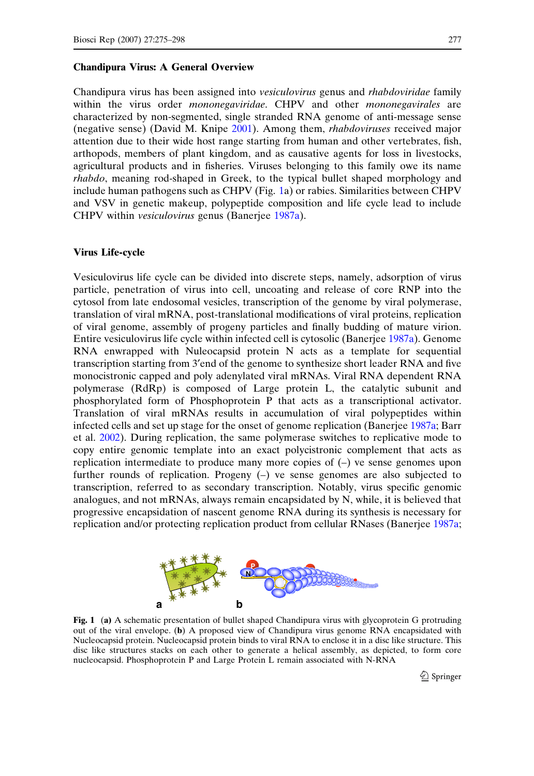#### <span id="page-2-0"></span>Chandipura Virus: A General Overview

Chandipura virus has been assigned into vesiculovirus genus and rhabdoviridae family within the virus order *mononegaviridae*. CHPV and other *mononegavirales* are characterized by non-segmented, single stranded RNA genome of anti-message sense (negative sense) (David M. Knipe [2001](#page-20-0)). Among them, rhabdoviruses received major attention due to their wide host range starting from human and other vertebrates, fish, arthopods, members of plant kingdom, and as causative agents for loss in livestocks, agricultural products and in fisheries. Viruses belonging to this family owe its name rhabdo, meaning rod-shaped in Greek, to the typical bullet shaped morphology and include human pathogens such as CHPV (Fig. 1a) or rabies. Similarities between CHPV and VSV in genetic makeup, polypeptide composition and life cycle lead to include CHPV within vesiculovirus genus (Banerjee [1987a](#page-19-0)).

# Virus Life-cycle

Vesiculovirus life cycle can be divided into discrete steps, namely, adsorption of virus particle, penetration of virus into cell, uncoating and release of core RNP into the cytosol from late endosomal vesicles, transcription of the genome by viral polymerase, translation of viral mRNA, post-translational modifications of viral proteins, replication of viral genome, assembly of progeny particles and finally budding of mature virion. Entire vesiculovirus life cycle within infected cell is cytosolic (Banerjee [1987a](#page-19-0)). Genome RNA enwrapped with Nuleocapsid protein N acts as a template for sequential transcription starting from 3¢end of the genome to synthesize short leader RNA and five monocistronic capped and poly adenylated viral mRNAs. Viral RNA dependent RNA polymerase (RdRp) is composed of Large protein L, the catalytic subunit and phosphorylated form of Phosphoprotein P that acts as a transcriptional activator. Translation of viral mRNAs results in accumulation of viral polypeptides within infected cells and set up stage for the onset of genome replication (Banerjee [1987a;](#page-19-0) Barr et al. [2002](#page-19-0)). During replication, the same polymerase switches to replicative mode to copy entire genomic template into an exact polycistronic complement that acts as replication intermediate to produce many more copies of (–) ve sense genomes upon further rounds of replication. Progeny (–) ve sense genomes are also subjected to transcription, referred to as secondary transcription. Notably, virus specific genomic analogues, and not mRNAs, always remain encapsidated by N, while, it is believed that progressive encapsidation of nascent genome RNA during its synthesis is necessary for replication and/or protecting replication product from cellular RNases (Banerjee [1987a;](#page-19-0)



Fig. 1 (a) A schematic presentation of bullet shaped Chandipura virus with glycoprotein G protruding out of the viral envelope. (b) A proposed view of Chandipura virus genome RNA encapsidated with Nucleocapsid protein. Nucleocapsid protein binds to viral RNA to enclose it in a disc like structure. This disc like structures stacks on each other to generate a helical assembly, as depicted, to form core nucleocapsid. Phosphoprotein P and Large Protein L remain associated with N-RNA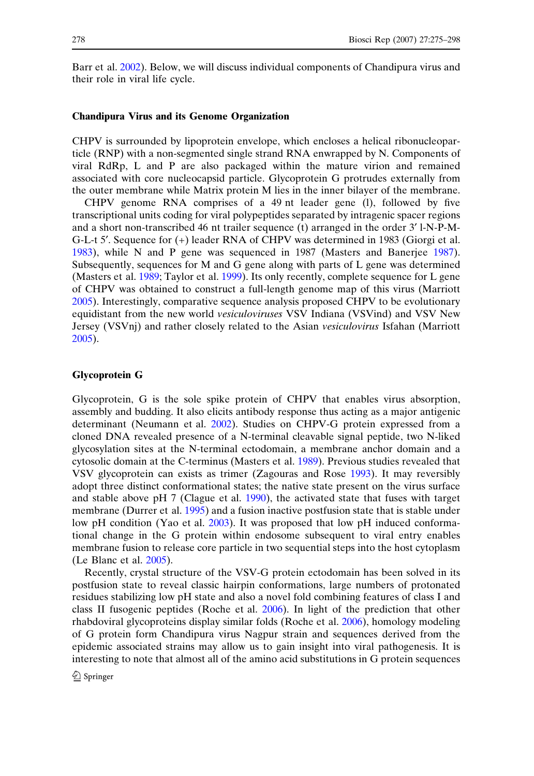Barr et al. [2002](#page-19-0)). Below, we will discuss individual components of Chandipura virus and their role in viral life cycle.

# Chandipura Virus and its Genome Organization

CHPV is surrounded by lipoprotein envelope, which encloses a helical ribonucleoparticle (RNP) with a non-segmented single strand RNA enwrapped by N. Components of viral RdRp, L and P are also packaged within the mature virion and remained associated with core nucleocapsid particle. Glycoprotein G protrudes externally from the outer membrane while Matrix protein M lies in the inner bilayer of the membrane.

CHPV genome RNA comprises of a 49 nt leader gene (l), followed by five transcriptional units coding for viral polypeptides separated by intragenic spacer regions and a short non-transcribed 46 nt trailer sequence (t) arranged in the order 3¢ l-N-P-M-G-L-t 5¢. Sequence for (+) leader RNA of CHPV was determined in 1983 (Giorgi et al. [1983\)](#page-21-0), while N and P gene was sequenced in 1987 (Masters and Banerjee [1987\)](#page-21-0). Subsequently, sequences for M and G gene along with parts of L gene was determined (Masters et al. [1989;](#page-22-0) Taylor et al. [1999](#page-23-0)). Its only recently, complete sequence for L gene of CHPV was obtained to construct a full-length genome map of this virus (Marriott [2005\)](#page-21-0). Interestingly, comparative sequence analysis proposed CHPV to be evolutionary equidistant from the new world *vesiculoviruses* VSV Indiana (VSVind) and VSV New Jersey (VSVnj) and rather closely related to the Asian vesiculovirus Isfahan (Marriott [2005\)](#page-21-0).

# Glycoprotein G

Glycoprotein, G is the sole spike protein of CHPV that enables virus absorption, assembly and budding. It also elicits antibody response thus acting as a major antigenic determinant (Neumann et al. [2002\)](#page-22-0). Studies on CHPV-G protein expressed from a cloned DNA revealed presence of a N-terminal cleavable signal peptide, two N-liked glycosylation sites at the N-terminal ectodomain, a membrane anchor domain and a cytosolic domain at the C-terminus (Masters et al. [1989](#page-22-0)). Previous studies revealed that VSV glycoprotein can exists as trimer (Zagouras and Rose [1993](#page-23-0)). It may reversibly adopt three distinct conformational states; the native state present on the virus surface and stable above pH 7 (Clague et al. [1990\)](#page-20-0), the activated state that fuses with target membrane (Durrer et al. [1995](#page-20-0)) and a fusion inactive postfusion state that is stable under low pH condition (Yao et al. [2003\)](#page-23-0). It was proposed that low pH induced conformational change in the G protein within endosome subsequent to viral entry enables membrane fusion to release core particle in two sequential steps into the host cytoplasm (Le Blanc et al. [2005](#page-21-0)).

Recently, crystal structure of the VSV-G protein ectodomain has been solved in its postfusion state to reveal classic hairpin conformations, large numbers of protonated residues stabilizing low pH state and also a novel fold combining features of class I and class II fusogenic peptides (Roche et al. [2006](#page-22-0)). In light of the prediction that other rhabdoviral glycoproteins display similar folds (Roche et al. [2006](#page-22-0)), homology modeling of G protein form Chandipura virus Nagpur strain and sequences derived from the epidemic associated strains may allow us to gain insight into viral pathogenesis. It is interesting to note that almost all of the amino acid substitutions in G protein sequences

 $\mathcal{D}$  Springer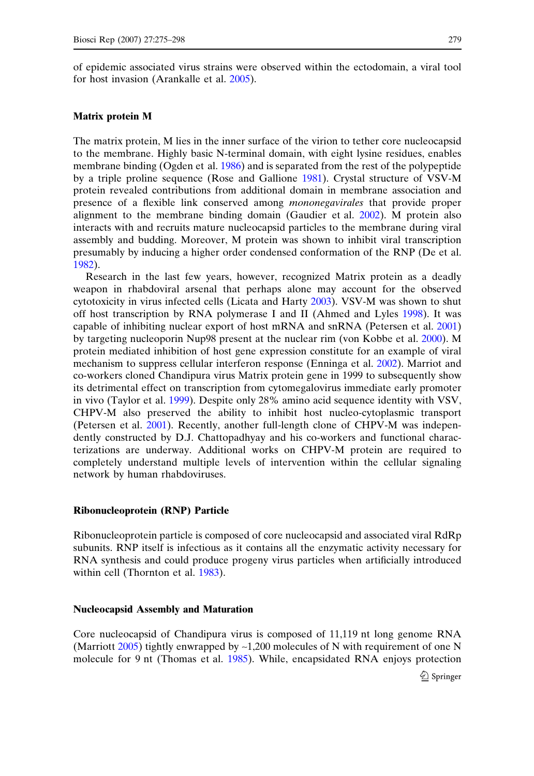of epidemic associated virus strains were observed within the ectodomain, a viral tool for host invasion (Arankalle et al. [2005\)](#page-19-0).

#### Matrix protein M

The matrix protein, M lies in the inner surface of the virion to tether core nucleocapsid to the membrane. Highly basic N-terminal domain, with eight lysine residues, enables membrane binding (Ogden et al. [1986\)](#page-22-0) and is separated from the rest of the polypeptide by a triple proline sequence (Rose and Gallione [1981](#page-22-0)). Crystal structure of VSV-M protein revealed contributions from additional domain in membrane association and presence of a flexible link conserved among mononegavirales that provide proper alignment to the membrane binding domain (Gaudier et al. [2002](#page-21-0)). M protein also interacts with and recruits mature nucleocapsid particles to the membrane during viral assembly and budding. Moreover, M protein was shown to inhibit viral transcription presumably by inducing a higher order condensed conformation of the RNP (De et al. [1982\)](#page-20-0).

Research in the last few years, however, recognized Matrix protein as a deadly weapon in rhabdoviral arsenal that perhaps alone may account for the observed cytotoxicity in virus infected cells (Licata and Harty [2003](#page-21-0)). VSV-M was shown to shut off host transcription by RNA polymerase I and II (Ahmed and Lyles [1998](#page-19-0)). It was capable of inhibiting nuclear export of host mRNA and snRNA (Petersen et al. [2001](#page-22-0)) by targeting nucleoporin Nup98 present at the nuclear rim (von Kobbe et al. [2000](#page-23-0)). M protein mediated inhibition of host gene expression constitute for an example of viral mechanism to suppress cellular interferon response (Enninga et al. [2002\)](#page-20-0). Marriot and co-workers cloned Chandipura virus Matrix protein gene in 1999 to subsequently show its detrimental effect on transcription from cytomegalovirus immediate early promoter in vivo (Taylor et al. [1999\)](#page-23-0). Despite only 28% amino acid sequence identity with VSV, CHPV-M also preserved the ability to inhibit host nucleo-cytoplasmic transport (Petersen et al. [2001\)](#page-22-0). Recently, another full-length clone of CHPV-M was independently constructed by D.J. Chattopadhyay and his co-workers and functional characterizations are underway. Additional works on CHPV-M protein are required to completely understand multiple levels of intervention within the cellular signaling network by human rhabdoviruses.

#### Ribonucleoprotein (RNP) Particle

Ribonucleoprotein particle is composed of core nucleocapsid and associated viral RdRp subunits. RNP itself is infectious as it contains all the enzymatic activity necessary for RNA synthesis and could produce progeny virus particles when artificially introduced within cell (Thornton et al. [1983](#page-23-0)).

#### Nucleocapsid Assembly and Maturation

Core nucleocapsid of Chandipura virus is composed of 11,119 nt long genome RNA (Marriott [2005](#page-21-0)) tightly enwrapped by  $\sim$ 1,200 molecules of N with requirement of one N molecule for 9 nt (Thomas et al. [1985](#page-23-0)). While, encapsidated RNA enjoys protection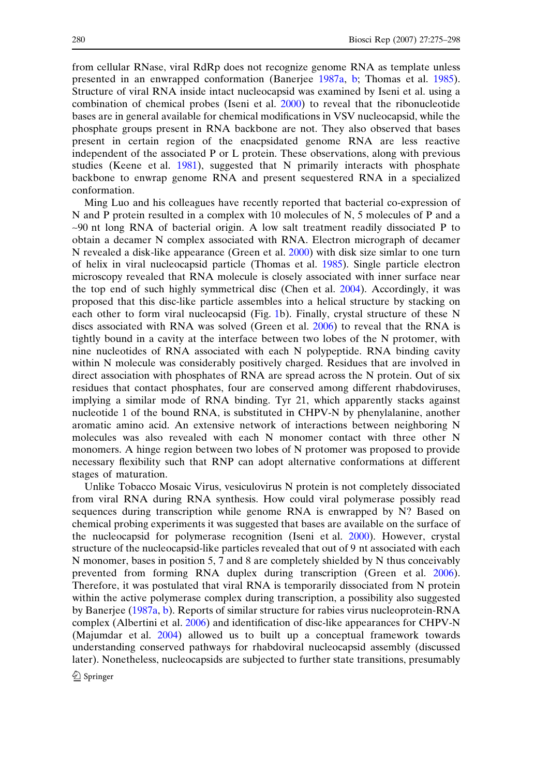from cellular RNase, viral RdRp does not recognize genome RNA as template unless presented in an enwrapped conformation (Banerjee [1987a](#page-19-0), [b;](#page-19-0) Thomas et al. [1985\)](#page-23-0). Structure of viral RNA inside intact nucleocapsid was examined by Iseni et al. using a combination of chemical probes (Iseni et al. [2000](#page-21-0)) to reveal that the ribonucleotide bases are in general available for chemical modifications in VSV nucleocapsid, while the phosphate groups present in RNA backbone are not. They also observed that bases present in certain region of the enacpsidated genome RNA are less reactive independent of the associated P or L protein. These observations, along with previous studies (Keene et al. [1981](#page-21-0)), suggested that N primarily interacts with phosphate backbone to enwrap genome RNA and present sequestered RNA in a specialized conformation.

Ming Luo and his colleagues have recently reported that bacterial co-expression of N and P protein resulted in a complex with 10 molecules of N, 5 molecules of P and a ~90 nt long RNA of bacterial origin. A low salt treatment readily dissociated P to obtain a decamer N complex associated with RNA. Electron micrograph of decamer N revealed a disk-like appearance (Green et al. [2000\)](#page-21-0) with disk size simlar to one turn of helix in viral nucleocapsid particle (Thomas et al. [1985\)](#page-23-0). Single particle electron microscopy revealed that RNA molecule is closely associated with inner surface near the top end of such highly symmetrical disc (Chen et al. [2004](#page-20-0)). Accordingly, it was proposed that this disc-like particle assembles into a helical structure by stacking on each other to form viral nucleocapsid (Fig. [1](#page-2-0)b). Finally, crystal structure of these N discs associated with RNA was solved (Green et al. [2006](#page-21-0)) to reveal that the RNA is tightly bound in a cavity at the interface between two lobes of the N protomer, with nine nucleotides of RNA associated with each N polypeptide. RNA binding cavity within N molecule was considerably positively charged. Residues that are involved in direct association with phosphates of RNA are spread across the N protein. Out of six residues that contact phosphates, four are conserved among different rhabdoviruses, implying a similar mode of RNA binding. Tyr 21, which apparently stacks against nucleotide 1 of the bound RNA, is substituted in CHPV-N by phenylalanine, another aromatic amino acid. An extensive network of interactions between neighboring N molecules was also revealed with each N monomer contact with three other N monomers. A hinge region between two lobes of N protomer was proposed to provide necessary flexibility such that RNP can adopt alternative conformations at different stages of maturation.

Unlike Tobacco Mosaic Virus, vesiculovirus N protein is not completely dissociated from viral RNA during RNA synthesis. How could viral polymerase possibly read sequences during transcription while genome RNA is enwrapped by N? Based on chemical probing experiments it was suggested that bases are available on the surface of the nucleocapsid for polymerase recognition (Iseni et al. [2000\)](#page-21-0). However, crystal structure of the nucleocapsid-like particles revealed that out of 9 nt associated with each N monomer, bases in position 5, 7 and 8 are completely shielded by N thus conceivably prevented from forming RNA duplex during transcription (Green et al. [2006\)](#page-21-0). Therefore, it was postulated that viral RNA is temporarily dissociated from N protein within the active polymerase complex during transcription, a possibility also suggested by Banerjee ([1987a](#page-19-0), [b](#page-19-0)). Reports of similar structure for rabies virus nucleoprotein-RNA complex (Albertini et al. [2006](#page-19-0)) and identification of disc-like appearances for CHPV-N (Majumdar et al. [2004](#page-21-0)) allowed us to built up a conceptual framework towards understanding conserved pathways for rhabdoviral nucleocapsid assembly (discussed later). Nonetheless, nucleocapsids are subjected to further state transitions, presumably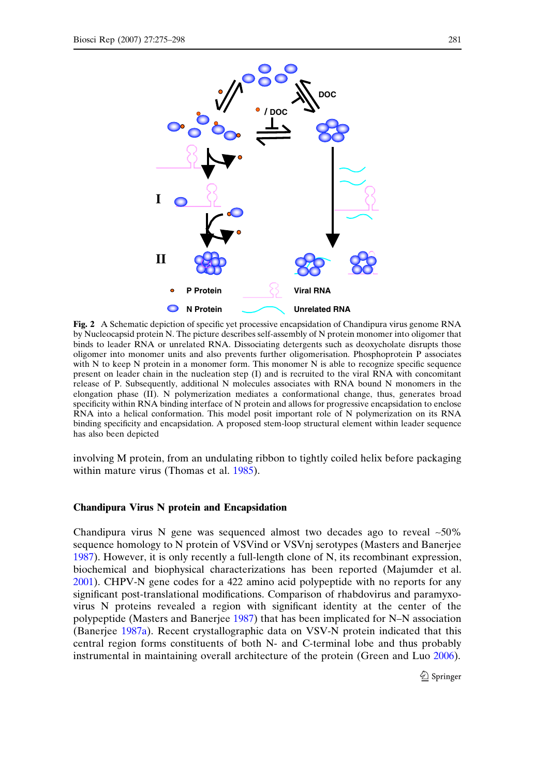<span id="page-6-0"></span>

**Unrelated RNA**

Fig. 2 A Schematic depiction of specific yet processive encapsidation of Chandipura virus genome RNA by Nucleocapsid protein N. The picture describes self-assembly of N protein monomer into oligomer that binds to leader RNA or unrelated RNA. Dissociating detergents such as deoxycholate disrupts those oligomer into monomer units and also prevents further oligomerisation. Phosphoprotein P associates with N to keep N protein in a monomer form. This monomer N is able to recognize specific sequence present on leader chain in the nucleation step (I) and is recruited to the viral RNA with concomitant release of P. Subsequently, additional N molecules associates with RNA bound N monomers in the elongation phase (II). N polymerization mediates a conformational change, thus, generates broad specificity within RNA binding interface of N protein and allows for progressive encapsidation to enclose RNA into a helical conformation. This model posit important role of N polymerization on its RNA binding specificity and encapsidation. A proposed stem-loop structural element within leader sequence has also been depicted

involving M protein, from an undulating ribbon to tightly coiled helix before packaging within mature virus (Thomas et al. [1985](#page-23-0)).

# Chandipura Virus N protein and Encapsidation

Chandipura virus N gene was sequenced almost two decades ago to reveal  $~50\%$ sequence homology to N protein of VSVind or VSVnj serotypes (Masters and Banerjee [1987\)](#page-21-0). However, it is only recently a full-length clone of N, its recombinant expression, biochemical and biophysical characterizations has been reported (Majumder et al. [2001\)](#page-21-0). CHPV-N gene codes for a 422 amino acid polypeptide with no reports for any significant post-translational modifications. Comparison of rhabdovirus and paramyxovirus N proteins revealed a region with significant identity at the center of the polypeptide (Masters and Banerjee [1987](#page-21-0)) that has been implicated for N–N association (Banerjee [1987a](#page-19-0)). Recent crystallographic data on VSV-N protein indicated that this central region forms constituents of both N- and C-terminal lobe and thus probably instrumental in maintaining overall architecture of the protein (Green and Luo [2006](#page-21-0)).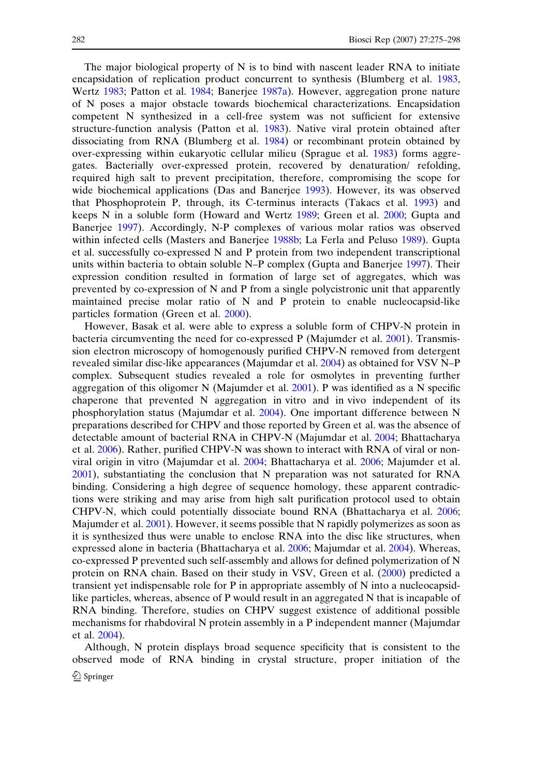The major biological property of N is to bind with nascent leader RNA to initiate encapsidation of replication product concurrent to synthesis (Blumberg et al. [1983,](#page-19-0) Wertz [1983;](#page-23-0) Patton et al. [1984;](#page-22-0) Banerjee [1987a\)](#page-19-0). However, aggregation prone nature of N poses a major obstacle towards biochemical characterizations. Encapsidation competent N synthesized in a cell-free system was not sufficient for extensive structure-function analysis (Patton et al. [1983](#page-22-0)). Native viral protein obtained after dissociating from RNA (Blumberg et al. [1984](#page-19-0)) or recombinant protein obtained by over-expressing within eukaryotic cellular milieu (Sprague et al. [1983](#page-23-0)) forms aggregates. Bacterially over-expressed protein, recovered by denaturation/ refolding, required high salt to prevent precipitation, therefore, compromising the scope for wide biochemical applications (Das and Banerjee [1993](#page-20-0)). However, its was observed that Phosphoprotein P, through, its C-terminus interacts (Takacs et al. [1993\)](#page-23-0) and keeps N in a soluble form (Howard and Wertz [1989;](#page-21-0) Green et al. [2000;](#page-21-0) Gupta and Banerjee [1997\)](#page-21-0). Accordingly, N-P complexes of various molar ratios was observed within infected cells (Masters and Banerjee [1988b](#page-21-0); La Ferla and Peluso [1989](#page-21-0)). Gupta et al. successfully co-expressed N and P protein from two independent transcriptional units within bacteria to obtain soluble N–P complex (Gupta and Banerjee [1997](#page-21-0)). Their expression condition resulted in formation of large set of aggregates, which was prevented by co-expression of N and P from a single polycistronic unit that apparently maintained precise molar ratio of N and P protein to enable nucleocapsid-like particles formation (Green et al. [2000](#page-21-0)).

However, Basak et al. were able to express a soluble form of CHPV-N protein in bacteria circumventing the need for co-expressed P (Majumder et al. [2001\)](#page-21-0). Transmission electron microscopy of homogenously purified CHPV-N removed from detergent revealed similar disc-like appearances (Majumdar et al. [2004](#page-21-0)) as obtained for VSV N–P complex. Subsequent studies revealed a role for osmolytes in preventing further aggregation of this oligomer N (Majumder et al. [2001\)](#page-21-0). P was identified as a N specific chaperone that prevented N aggregation in vitro and in vivo independent of its phosphorylation status (Majumdar et al. [2004](#page-21-0)). One important difference between N preparations described for CHPV and those reported by Green et al. was the absence of detectable amount of bacterial RNA in CHPV-N (Majumdar et al. [2004;](#page-21-0) Bhattacharya et al. [2006](#page-19-0)). Rather, purified CHPV-N was shown to interact with RNA of viral or nonviral origin in vitro (Majumdar et al. [2004;](#page-21-0) Bhattacharya et al. [2006](#page-19-0); Majumder et al. [2001\)](#page-21-0), substantiating the conclusion that N preparation was not saturated for RNA binding. Considering a high degree of sequence homology, these apparent contradictions were striking and may arise from high salt purification protocol used to obtain CHPV-N, which could potentially dissociate bound RNA (Bhattacharya et al. [2006;](#page-19-0) Majumder et al. [2001](#page-21-0)). However, it seems possible that N rapidly polymerizes as soon as it is synthesized thus were unable to enclose RNA into the disc like structures, when expressed alone in bacteria (Bhattacharya et al. [2006](#page-19-0); Majumdar et al. [2004\)](#page-21-0). Whereas, co-expressed P prevented such self-assembly and allows for defined polymerization of N protein on RNA chain. Based on their study in VSV, Green et al. ([2000\)](#page-21-0) predicted a transient yet indispensable role for P in appropriate assembly of N into a nucleocapsidlike particles, whereas, absence of P would result in an aggregated N that is incapable of RNA binding. Therefore, studies on CHPV suggest existence of additional possible mechanisms for rhabdoviral N protein assembly in a P independent manner (Majumdar et al. [2004\)](#page-21-0).

Although, N protein displays broad sequence specificity that is consistent to the observed mode of RNA binding in crystal structure, proper initiation of the  $\bigcirc$  Springer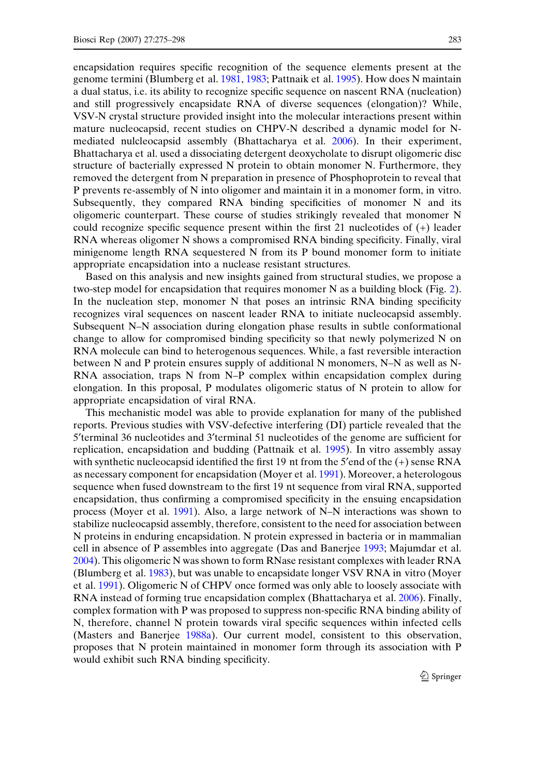encapsidation requires specific recognition of the sequence elements present at the genome termini (Blumberg et al. [1981,](#page-19-0) [1983](#page-19-0); Pattnaik et al. [1995\)](#page-22-0). How does N maintain a dual status, i.e. its ability to recognize specific sequence on nascent RNA (nucleation) and still progressively encapsidate RNA of diverse sequences (elongation)? While, VSV-N crystal structure provided insight into the molecular interactions present within mature nucleocapsid, recent studies on CHPV-N described a dynamic model for N-

mediated nulcleocapsid assembly (Bhattacharya et al. [2006](#page-19-0)). In their experiment, Bhattacharya et al. used a dissociating detergent deoxycholate to disrupt oligomeric disc structure of bacterially expressed N protein to obtain monomer N. Furthermore, they removed the detergent from N preparation in presence of Phosphoprotein to reveal that P prevents re-assembly of N into oligomer and maintain it in a monomer form, in vitro. Subsequently, they compared RNA binding specificities of monomer N and its oligomeric counterpart. These course of studies strikingly revealed that monomer N could recognize specific sequence present within the first 21 nucleotides of (+) leader RNA whereas oligomer N shows a compromised RNA binding specificity. Finally, viral minigenome length RNA sequestered N from its P bound monomer form to initiate appropriate encapsidation into a nuclease resistant structures.

Based on this analysis and new insights gained from structural studies, we propose a two-step model for encapsidation that requires monomer N as a building block (Fig. [2](#page-6-0)). In the nucleation step, monomer N that poses an intrinsic RNA binding specificity recognizes viral sequences on nascent leader RNA to initiate nucleocapsid assembly. Subsequent N–N association during elongation phase results in subtle conformational change to allow for compromised binding specificity so that newly polymerized N on RNA molecule can bind to heterogenous sequences. While, a fast reversible interaction between N and P protein ensures supply of additional N monomers, N–N as well as N-RNA association, traps N from N–P complex within encapsidation complex during elongation. In this proposal, P modulates oligomeric status of N protein to allow for appropriate encapsidation of viral RNA.

This mechanistic model was able to provide explanation for many of the published reports. Previous studies with VSV-defective interfering (DI) particle revealed that the 5'terminal 36 nucleotides and 3'terminal 51 nucleotides of the genome are sufficient for replication, encapsidation and budding (Pattnaik et al. [1995\)](#page-22-0). In vitro assembly assay with synthetic nucleocapsid identified the first 19 nt from the 5 $\degree$ end of the  $(+)$  sense RNA as necessary component for encapsidation (Moyer et al. [1991\)](#page-22-0). Moreover, a heterologous sequence when fused downstream to the first 19 nt sequence from viral RNA, supported encapsidation, thus confirming a compromised specificity in the ensuing encapsidation process (Moyer et al. [1991\)](#page-22-0). Also, a large network of N–N interactions was shown to stabilize nucleocapsid assembly, therefore, consistent to the need for association between N proteins in enduring encapsidation. N protein expressed in bacteria or in mammalian cell in absence of P assembles into aggregate (Das and Banerjee [1993](#page-20-0); Majumdar et al. [2004\)](#page-21-0). This oligomeric N was shown to form RNase resistant complexes with leader RNA (Blumberg et al. [1983\)](#page-19-0), but was unable to encapsidate longer VSV RNA in vitro (Moyer et al. [1991](#page-22-0)). Oligomeric N of CHPV once formed was only able to loosely associate with RNA instead of forming true encapsidation complex (Bhattacharya et al. [2006\)](#page-19-0). Finally, complex formation with P was proposed to suppress non-specific RNA binding ability of N, therefore, channel N protein towards viral specific sequences within infected cells (Masters and Banerjee [1988a](#page-21-0)). Our current model, consistent to this observation, proposes that N protein maintained in monomer form through its association with P would exhibit such RNA binding specificity.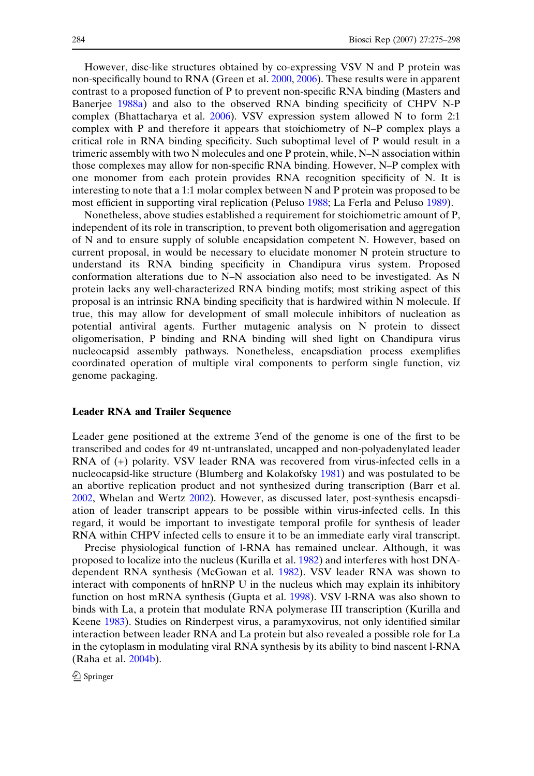However, disc-like structures obtained by co-expressing VSV N and P protein was non-specifically bound to RNA (Green et al. [2000,](#page-21-0) [2006](#page-21-0)). These results were in apparent contrast to a proposed function of P to prevent non-specific RNA binding (Masters and Banerjee [1988a\)](#page-21-0) and also to the observed RNA binding specificity of CHPV N-P complex (Bhattacharya et al. [2006\)](#page-19-0). VSV expression system allowed N to form 2:1 complex with P and therefore it appears that stoichiometry of N–P complex plays a critical role in RNA binding specificity. Such suboptimal level of P would result in a trimeric assembly with two N molecules and one P protein, while, N–N association within those complexes may allow for non-specific RNA binding. However, N–P complex with one monomer from each protein provides RNA recognition specificity of N. It is interesting to note that a 1:1 molar complex between N and P protein was proposed to be most efficient in supporting viral replication (Peluso [1988](#page-22-0); La Ferla and Peluso [1989\)](#page-21-0).

Nonetheless, above studies established a requirement for stoichiometric amount of P, independent of its role in transcription, to prevent both oligomerisation and aggregation of N and to ensure supply of soluble encapsidation competent N. However, based on current proposal, in would be necessary to elucidate monomer N protein structure to understand its RNA binding specificity in Chandipura virus system. Proposed conformation alterations due to N–N association also need to be investigated. As N protein lacks any well-characterized RNA binding motifs; most striking aspect of this proposal is an intrinsic RNA binding specificity that is hardwired within N molecule. If true, this may allow for development of small molecule inhibitors of nucleation as potential antiviral agents. Further mutagenic analysis on N protein to dissect oligomerisation, P binding and RNA binding will shed light on Chandipura virus nucleocapsid assembly pathways. Nonetheless, encapsdiation process exemplifies coordinated operation of multiple viral components to perform single function, viz genome packaging.

## Leader RNA and Trailer Sequence

Leader gene positioned at the extreme 3'end of the genome is one of the first to be transcribed and codes for 49 nt-untranslated, uncapped and non-polyadenylated leader RNA of (+) polarity. VSV leader RNA was recovered from virus-infected cells in a nucleocapsid-like structure (Blumberg and Kolakofsky [1981](#page-19-0)) and was postulated to be an abortive replication product and not synthesized during transcription (Barr et al. [2002,](#page-19-0) Whelan and Wertz [2002\)](#page-23-0). However, as discussed later, post-synthesis encapsdiation of leader transcript appears to be possible within virus-infected cells. In this regard, it would be important to investigate temporal profile for synthesis of leader RNA within CHPV infected cells to ensure it to be an immediate early viral transcript.

Precise physiological function of l-RNA has remained unclear. Although, it was proposed to localize into the nucleus (Kurilla et al. [1982\)](#page-21-0) and interferes with host DNAdependent RNA synthesis (McGowan et al. [1982](#page-22-0)). VSV leader RNA was shown to interact with components of hnRNP U in the nucleus which may explain its inhibitory function on host mRNA synthesis (Gupta et al. [1998\)](#page-21-0). VSV l-RNA was also shown to binds with La, a protein that modulate RNA polymerase III transcription (Kurilla and Keene [1983\)](#page-21-0). Studies on Rinderpest virus, a paramyxovirus, not only identified similar interaction between leader RNA and La protein but also revealed a possible role for La in the cytoplasm in modulating viral RNA synthesis by its ability to bind nascent l-RNA (Raha et al. [2004b\)](#page-22-0).

 $\bigcirc$  Springer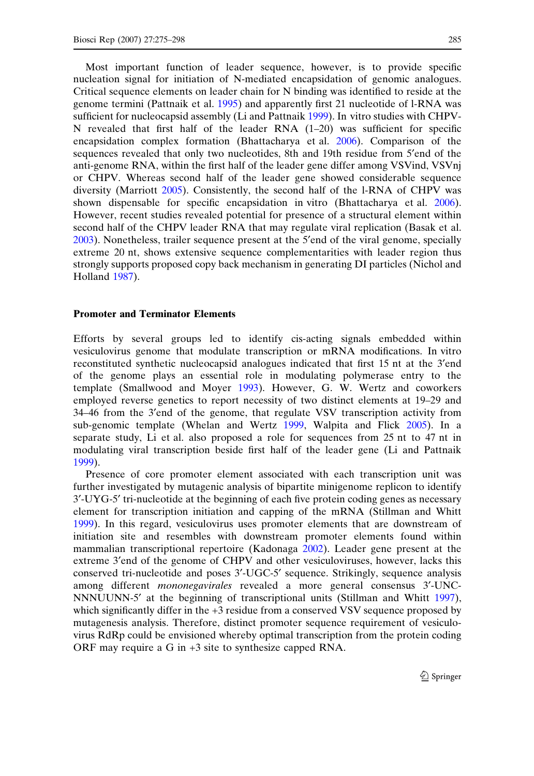Most important function of leader sequence, however, is to provide specific nucleation signal for initiation of N-mediated encapsidation of genomic analogues. Critical sequence elements on leader chain for N binding was identified to reside at the genome termini (Pattnaik et al. [1995\)](#page-22-0) and apparently first 21 nucleotide of l-RNA was sufficient for nucleocapsid assembly (Li and Pattnaik [1999\)](#page-21-0). In vitro studies with CHPV-N revealed that first half of the leader RNA  $(1–20)$  was sufficient for specific encapsidation complex formation (Bhattacharya et al. [2006\)](#page-19-0). Comparison of the sequences revealed that only two nucleotides, 8th and 19th residue from 5'end of the anti-genome RNA, within the first half of the leader gene differ among VSVind, VSVnj or CHPV. Whereas second half of the leader gene showed considerable sequence diversity (Marriott [2005](#page-21-0)). Consistently, the second half of the l-RNA of CHPV was shown dispensable for specific encapsidation in vitro (Bhattacharya et al. [2006](#page-19-0)). However, recent studies revealed potential for presence of a structural element within second half of the CHPV leader RNA that may regulate viral replication (Basak et al. [2003\)](#page-19-0). Nonetheless, trailer sequence present at the 5¢end of the viral genome, specially extreme 20 nt, shows extensive sequence complementarities with leader region thus strongly supports proposed copy back mechanism in generating DI particles (Nichol and Holland [1987\)](#page-22-0).

## Promoter and Terminator Elements

Efforts by several groups led to identify cis-acting signals embedded within vesiculovirus genome that modulate transcription or mRNA modifications. In vitro reconstituted synthetic nucleocapsid analogues indicated that first 15 nt at the 3¢end of the genome plays an essential role in modulating polymerase entry to the template (Smallwood and Moyer [1993\)](#page-23-0). However, G. W. Wertz and coworkers employed reverse genetics to report necessity of two distinct elements at 19–29 and 34–46 from the 3¢end of the genome, that regulate VSV transcription activity from sub-genomic template (Whelan and Wertz [1999,](#page-23-0) Walpita and Flick [2005](#page-23-0)). In a separate study, Li et al. also proposed a role for sequences from 25 nt to 47 nt in modulating viral transcription beside first half of the leader gene (Li and Pattnaik [1999\)](#page-21-0).

Presence of core promoter element associated with each transcription unit was further investigated by mutagenic analysis of bipartite minigenome replicon to identify 3¢-UYG-5¢ tri-nucleotide at the beginning of each five protein coding genes as necessary element for transcription initiation and capping of the mRNA (Stillman and Whitt [1999\)](#page-23-0). In this regard, vesiculovirus uses promoter elements that are downstream of initiation site and resembles with downstream promoter elements found within mammalian transcriptional repertoire (Kadonaga [2002\)](#page-21-0). Leader gene present at the extreme 3'end of the genome of CHPV and other vesiculoviruses, however, lacks this conserved tri-nucleotide and poses 3¢-UGC-5¢ sequence. Strikingly, sequence analysis among different mononegavirales revealed a more general consensus 3¢-UNC-NNNUUNN-5¢ at the beginning of transcriptional units (Stillman and Whitt [1997](#page-23-0)), which significantly differ in the +3 residue from a conserved VSV sequence proposed by mutagenesis analysis. Therefore, distinct promoter sequence requirement of vesiculovirus RdRp could be envisioned whereby optimal transcription from the protein coding ORF may require a G in +3 site to synthesize capped RNA.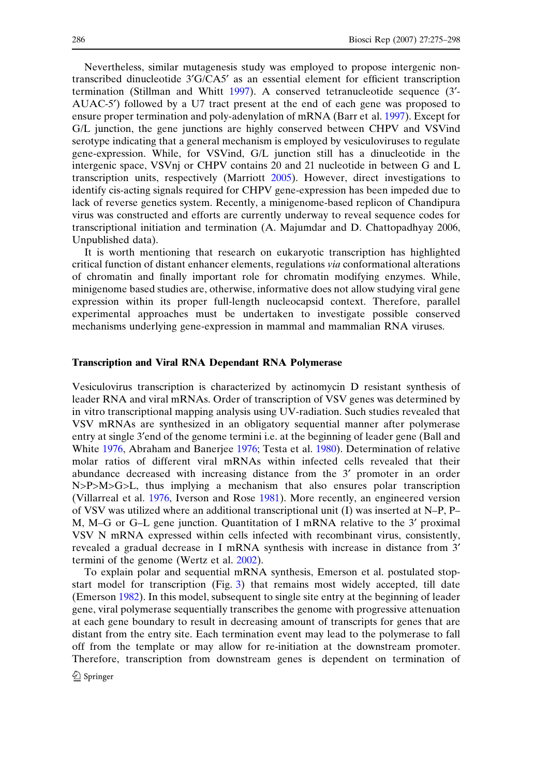Nevertheless, similar mutagenesis study was employed to propose intergenic nontranscribed dinucleotide 3¢G/CA5¢ as an essential element for efficient transcription termination (Stillman and Whitt [1997\)](#page-23-0). A conserved tetranucleotide sequence (3¢- AUAC-5¢) followed by a U7 tract present at the end of each gene was proposed to ensure proper termination and poly-adenylation of mRNA (Barr et al. [1997\)](#page-19-0). Except for G/L junction, the gene junctions are highly conserved between CHPV and VSVind serotype indicating that a general mechanism is employed by vesiculoviruses to regulate gene-expression. While, for VSVind, G/L junction still has a dinucleotide in the intergenic space, VSVnj or CHPV contains 20 and 21 nucleotide in between G and L transcription units, respectively (Marriott [2005](#page-21-0)). However, direct investigations to identify cis-acting signals required for CHPV gene-expression has been impeded due to lack of reverse genetics system. Recently, a minigenome-based replicon of Chandipura virus was constructed and efforts are currently underway to reveal sequence codes for transcriptional initiation and termination (A. Majumdar and D. Chattopadhyay 2006, Unpublished data).

It is worth mentioning that research on eukaryotic transcription has highlighted critical function of distant enhancer elements, regulations via conformational alterations of chromatin and finally important role for chromatin modifying enzymes. While, minigenome based studies are, otherwise, informative does not allow studying viral gene expression within its proper full-length nucleocapsid context. Therefore, parallel experimental approaches must be undertaken to investigate possible conserved mechanisms underlying gene-expression in mammal and mammalian RNA viruses.

## Transcription and Viral RNA Dependant RNA Polymerase

Vesiculovirus transcription is characterized by actinomycin D resistant synthesis of leader RNA and viral mRNAs. Order of transcription of VSV genes was determined by in vitro transcriptional mapping analysis using UV-radiation. Such studies revealed that VSV mRNAs are synthesized in an obligatory sequential manner after polymerase entry at single 3¢end of the genome termini i.e. at the beginning of leader gene (Ball and White [1976](#page-19-0), Abraham and Banerjee [1976;](#page-19-0) Testa et al. [1980\)](#page-23-0). Determination of relative molar ratios of different viral mRNAs within infected cells revealed that their abundance decreased with increasing distance from the 3¢ promoter in an order N>P>M>G>L, thus implying a mechanism that also ensures polar transcription (Villarreal et al. [1976,](#page-23-0) Iverson and Rose [1981\)](#page-21-0). More recently, an engineered version of VSV was utilized where an additional transcriptional unit (I) was inserted at N–P, P– M, M–G or G–L gene junction. Quantitation of I mRNA relative to the 3¢ proximal VSV N mRNA expressed within cells infected with recombinant virus, consistently, revealed a gradual decrease in I mRNA synthesis with increase in distance from 3¢ termini of the genome (Wertz et al. [2002](#page-23-0)).

To explain polar and sequential mRNA synthesis, Emerson et al. postulated stopstart model for transcription (Fig. [3\)](#page-12-0) that remains most widely accepted, till date (Emerson [1982](#page-20-0)). In this model, subsequent to single site entry at the beginning of leader gene, viral polymerase sequentially transcribes the genome with progressive attenuation at each gene boundary to result in decreasing amount of transcripts for genes that are distant from the entry site. Each termination event may lead to the polymerase to fall off from the template or may allow for re-initiation at the downstream promoter. Therefore, transcription from downstream genes is dependent on termination of

 $\mathcal{D}$  Springer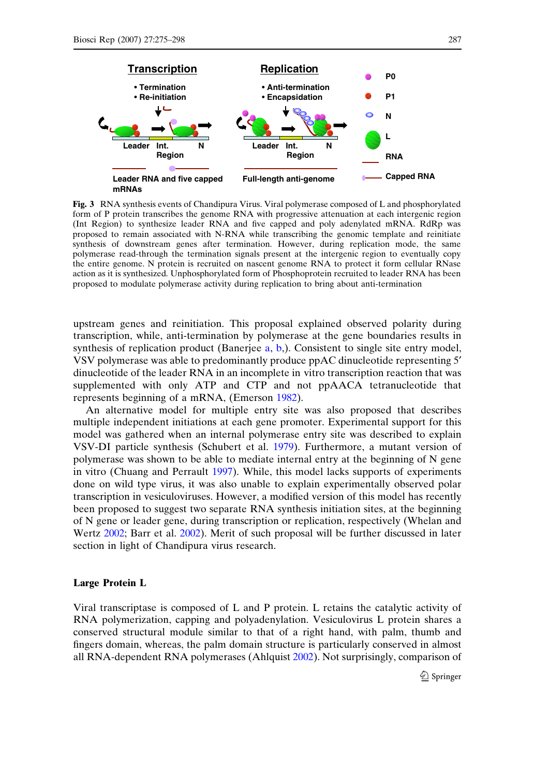<span id="page-12-0"></span>

Fig. 3 RNA synthesis events of Chandipura Virus. Viral polymerase composed of L and phosphorylated form of P protein transcribes the genome RNA with progressive attenuation at each intergenic region (Int Region) to synthesize leader RNA and five capped and poly adenylated mRNA. RdRp was proposed to remain associated with N-RNA while transcribing the genomic template and reinitiate synthesis of downstream genes after termination. However, during replication mode, the same polymerase read-through the termination signals present at the intergenic region to eventually copy the entire genome. N protein is recruited on nascent genome RNA to protect it form cellular RNase action as it is synthesized. Unphosphorylated form of Phosphoprotein recruited to leader RNA has been proposed to modulate polymerase activity during replication to bring about anti-termination

upstream genes and reinitiation. This proposal explained observed polarity during transcription, while, anti-termination by polymerase at the gene boundaries results in synthesis of replication product (Banerjee [a,](#page-19-0) [b](#page-19-0),). Consistent to single site entry model, VSV polymerase was able to predominantly produce ppAC dinucleotide representing 5¢ dinucleotide of the leader RNA in an incomplete in vitro transcription reaction that was supplemented with only ATP and CTP and not ppAACA tetranucleotide that represents beginning of a mRNA, (Emerson [1982](#page-20-0)).

An alternative model for multiple entry site was also proposed that describes multiple independent initiations at each gene promoter. Experimental support for this model was gathered when an internal polymerase entry site was described to explain VSV-DI particle synthesis (Schubert et al. [1979](#page-22-0)). Furthermore, a mutant version of polymerase was shown to be able to mediate internal entry at the beginning of N gene in vitro (Chuang and Perrault [1997\)](#page-20-0). While, this model lacks supports of experiments done on wild type virus, it was also unable to explain experimentally observed polar transcription in vesiculoviruses. However, a modified version of this model has recently been proposed to suggest two separate RNA synthesis initiation sites, at the beginning of N gene or leader gene, during transcription or replication, respectively (Whelan and Wertz [2002](#page-23-0); Barr et al. [2002\)](#page-19-0). Merit of such proposal will be further discussed in later section in light of Chandipura virus research.

#### Large Protein L

Viral transcriptase is composed of L and P protein. L retains the catalytic activity of RNA polymerization, capping and polyadenylation. Vesiculovirus L protein shares a conserved structural module similar to that of a right hand, with palm, thumb and fingers domain, whereas, the palm domain structure is particularly conserved in almost all RNA-dependent RNA polymerases (Ahlquist [2002\)](#page-19-0). Not surprisingly, comparison of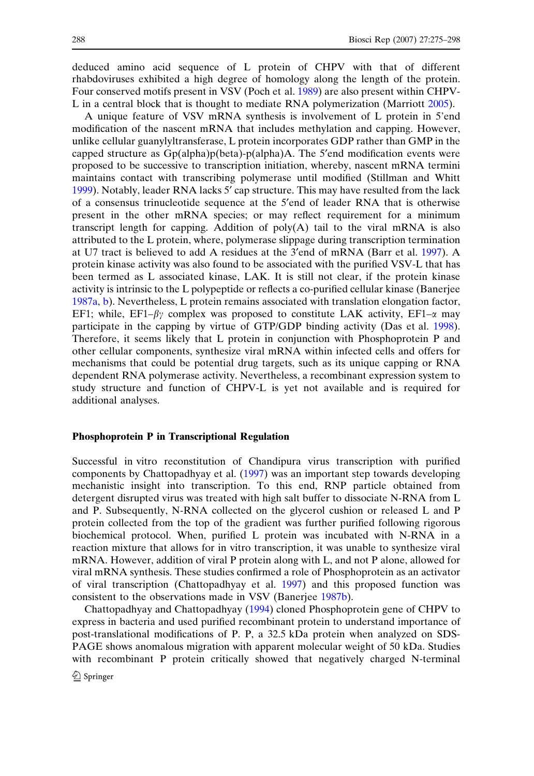deduced amino acid sequence of L protein of CHPV with that of different rhabdoviruses exhibited a high degree of homology along the length of the protein. Four conserved motifs present in VSV (Poch et al. [1989](#page-22-0)) are also present within CHPV-L in a central block that is thought to mediate RNA polymerization (Marriott [2005](#page-21-0)).

A unique feature of VSV mRNA synthesis is involvement of L protein in 5'end modification of the nascent mRNA that includes methylation and capping. However, unlike cellular guanylyltransferase, L protein incorporates GDP rather than GMP in the capped structure as  $Gp(alpha)p(beta)-p(alpha)$ A. The 5'end modification events were proposed to be successive to transcription initiation, whereby, nascent mRNA termini maintains contact with transcribing polymerase until modified (Stillman and Whitt [1999\)](#page-23-0). Notably, leader RNA lacks 5' cap structure. This may have resulted from the lack of a consensus trinucleotide sequence at the 5¢end of leader RNA that is otherwise present in the other mRNA species; or may reflect requirement for a minimum transcript length for capping. Addition of poly(A) tail to the viral mRNA is also attributed to the L protein, where, polymerase slippage during transcription termination at U7 tract is believed to add A residues at the 3¢end of mRNA (Barr et al. [1997\)](#page-19-0). A protein kinase activity was also found to be associated with the purified VSV-L that has been termed as L associated kinase, LAK. It is still not clear, if the protein kinase activity is intrinsic to the L polypeptide or reflects a co-purified cellular kinase (Banerjee [1987a,](#page-19-0) [b\)](#page-19-0). Nevertheless, L protein remains associated with translation elongation factor, EF1; while, EF1– $\beta\gamma$  complex was proposed to constitute LAK activity, EF1– $\alpha$  may participate in the capping by virtue of GTP/GDP binding activity (Das et al. [1998\)](#page-20-0). Therefore, it seems likely that L protein in conjunction with Phosphoprotein P and other cellular components, synthesize viral mRNA within infected cells and offers for mechanisms that could be potential drug targets, such as its unique capping or RNA dependent RNA polymerase activity. Nevertheless, a recombinant expression system to study structure and function of CHPV-L is yet not available and is required for additional analyses.

#### Phosphoprotein P in Transcriptional Regulation

Successful in vitro reconstitution of Chandipura virus transcription with purified components by Chattopadhyay et al. ([1997\)](#page-20-0) was an important step towards developing mechanistic insight into transcription. To this end, RNP particle obtained from detergent disrupted virus was treated with high salt buffer to dissociate N-RNA from L and P. Subsequently, N-RNA collected on the glycerol cushion or released L and P protein collected from the top of the gradient was further purified following rigorous biochemical protocol. When, purified L protein was incubated with N-RNA in a reaction mixture that allows for in vitro transcription, it was unable to synthesize viral mRNA. However, addition of viral P protein along with L, and not P alone, allowed for viral mRNA synthesis. These studies confirmed a role of Phosphoprotein as an activator of viral transcription (Chattopadhyay et al. [1997](#page-20-0)) and this proposed function was consistent to the observations made in VSV (Banerjee [1987b\)](#page-19-0).

Chattopadhyay and Chattopadhyay [\(1994](#page-20-0)) cloned Phosphoprotein gene of CHPV to express in bacteria and used purified recombinant protein to understand importance of post-translational modifications of P. P, a 32.5 kDa protein when analyzed on SDS-PAGE shows anomalous migration with apparent molecular weight of 50 kDa. Studies with recombinant P protein critically showed that negatively charged N-terminal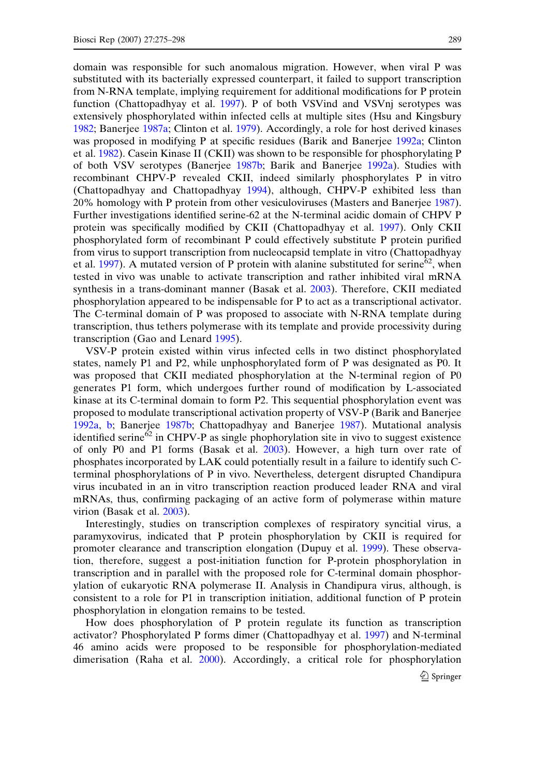domain was responsible for such anomalous migration. However, when viral P was substituted with its bacterially expressed counterpart, it failed to support transcription from N-RNA template, implying requirement for additional modifications for P protein function (Chattopadhyay et al. [1997](#page-20-0)). P of both VSVind and VSVnj serotypes was extensively phosphorylated within infected cells at multiple sites (Hsu and Kingsbury [1982;](#page-21-0) Banerjee [1987a](#page-19-0); Clinton et al. [1979\)](#page-20-0). Accordingly, a role for host derived kinases was proposed in modifying P at specific residues (Barik and Banerjee [1992a](#page-19-0); Clinton et al. [1982](#page-20-0)). Casein Kinase II (CKII) was shown to be responsible for phosphorylating P of both VSV serotypes (Banerjee [1987b](#page-19-0); Barik and Banerjee [1992a\)](#page-19-0). Studies with recombinant CHPV-P revealed CKII, indeed similarly phosphorylates P in vitro (Chattopadhyay and Chattopadhyay [1994\)](#page-20-0), although, CHPV-P exhibited less than 20% homology with P protein from other vesiculoviruses (Masters and Banerjee [1987](#page-21-0)). Further investigations identified serine-62 at the N-terminal acidic domain of CHPV P protein was specifically modified by CKII (Chattopadhyay et al. [1997\)](#page-20-0). Only CKII phosphorylated form of recombinant P could effectively substitute P protein purified from virus to support transcription from nucleocapsid template in vitro (Chattopadhyay et al. [1997](#page-20-0)). A mutated version of P protein with alanine substituted for serine<sup>62</sup>, when tested in vivo was unable to activate transcription and rather inhibited viral mRNA synthesis in a trans-dominant manner (Basak et al. [2003\)](#page-19-0). Therefore, CKII mediated phosphorylation appeared to be indispensable for P to act as a transcriptional activator. The C-terminal domain of P was proposed to associate with N-RNA template during transcription, thus tethers polymerase with its template and provide processivity during transcription (Gao and Lenard [1995](#page-21-0)).

VSV-P protein existed within virus infected cells in two distinct phosphorylated states, namely P1 and P2, while unphosphorylated form of P was designated as P0. It was proposed that CKII mediated phosphorylation at the N-terminal region of P0 generates P1 form, which undergoes further round of modification by L-associated kinase at its C-terminal domain to form P2. This sequential phosphorylation event was proposed to modulate transcriptional activation property of VSV-P (Barik and Banerjee [1992a,](#page-19-0) [b](#page-19-0); Banerjee [1987b;](#page-19-0) Chattopadhyay and Banerjee [1987](#page-20-0)). Mutational analysis identified serine $62$  in CHPV-P as single phophorylation site in vivo to suggest existence of only P0 and P1 forms (Basak et al. [2003](#page-19-0)). However, a high turn over rate of phosphates incorporated by LAK could potentially result in a failure to identify such Cterminal phosphorylations of P in vivo. Nevertheless, detergent disrupted Chandipura virus incubated in an in vitro transcription reaction produced leader RNA and viral mRNAs, thus, confirming packaging of an active form of polymerase within mature virion (Basak et al. [2003](#page-19-0)).

Interestingly, studies on transcription complexes of respiratory syncitial virus, a paramyxovirus, indicated that P protein phosphorylation by CKII is required for promoter clearance and transcription elongation (Dupuy et al. [1999\)](#page-20-0). These observation, therefore, suggest a post-initiation function for P-protein phosphorylation in transcription and in parallel with the proposed role for C-terminal domain phosphorylation of eukaryotic RNA polymerase II. Analysis in Chandipura virus, although, is consistent to a role for P1 in transcription initiation, additional function of P protein phosphorylation in elongation remains to be tested.

How does phosphorylation of P protein regulate its function as transcription activator? Phosphorylated P forms dimer (Chattopadhyay et al. [1997](#page-20-0)) and N-terminal 46 amino acids were proposed to be responsible for phosphorylation-mediated dimerisation (Raha et al. [2000\)](#page-22-0). Accordingly, a critical role for phosphorylation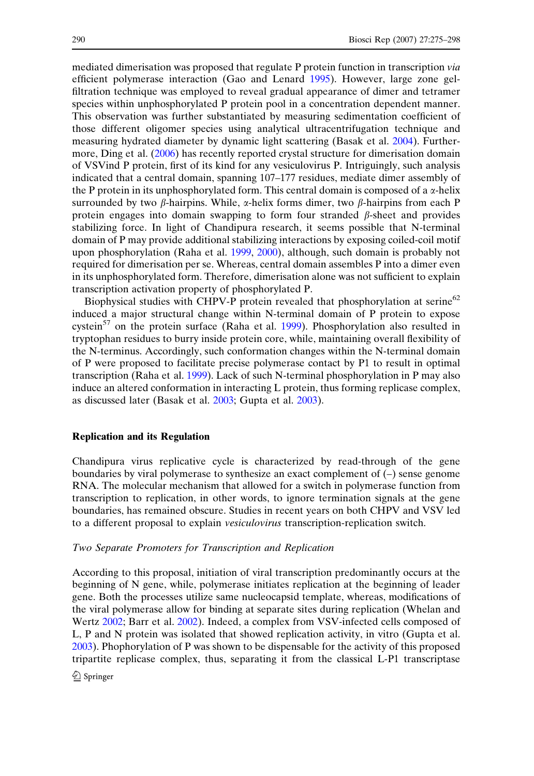mediated dimerisation was proposed that regulate P protein function in transcription via efficient polymerase interaction (Gao and Lenard [1995](#page-21-0)). However, large zone gelfiltration technique was employed to reveal gradual appearance of dimer and tetramer species within unphosphorylated P protein pool in a concentration dependent manner. This observation was further substantiated by measuring sedimentation coefficient of those different oligomer species using analytical ultracentrifugation technique and measuring hydrated diameter by dynamic light scattering (Basak et al. [2004](#page-19-0)). Furthermore, Ding et al. ([2006](#page-20-0)) has recently reported crystal structure for dimerisation domain of VSVind P protein, first of its kind for any vesiculovirus P. Intriguingly, such analysis indicated that a central domain, spanning 107–177 residues, mediate dimer assembly of the P protein in its unphosphorylated form. This central domain is composed of a  $\alpha$ -helix surrounded by two  $\beta$ -hairpins. While,  $\alpha$ -helix forms dimer, two  $\beta$ -hairpins from each P protein engages into domain swapping to form four stranded  $\beta$ -sheet and provides stabilizing force. In light of Chandipura research, it seems possible that N-terminal domain of P may provide additional stabilizing interactions by exposing coiled-coil motif upon phosphorylation (Raha et al. [1999](#page-22-0), [2000](#page-22-0)), although, such domain is probably not required for dimerisation per se. Whereas, central domain assembles P into a dimer even in its unphosphorylated form. Therefore, dimerisation alone was not sufficient to explain transcription activation property of phosphorylated P.

Biophysical studies with CHPV-P protein revealed that phosphorylation at serine $62$ induced a major structural change within N-terminal domain of P protein to expose cystein $57$  on the protein surface (Raha et al. [1999\)](#page-22-0). Phosphorylation also resulted in tryptophan residues to burry inside protein core, while, maintaining overall flexibility of the N-terminus. Accordingly, such conformation changes within the N-terminal domain of P were proposed to facilitate precise polymerase contact by P1 to result in optimal transcription (Raha et al. [1999](#page-22-0)). Lack of such N-terminal phosphorylation in P may also induce an altered conformation in interacting L protein, thus forming replicase complex, as discussed later (Basak et al. [2003;](#page-19-0) Gupta et al. [2003\)](#page-21-0).

#### Replication and its Regulation

Chandipura virus replicative cycle is characterized by read-through of the gene boundaries by viral polymerase to synthesize an exact complement of (–) sense genome RNA. The molecular mechanism that allowed for a switch in polymerase function from transcription to replication, in other words, to ignore termination signals at the gene boundaries, has remained obscure. Studies in recent years on both CHPV and VSV led to a different proposal to explain vesiculovirus transcription-replication switch.

# Two Separate Promoters for Transcription and Replication

According to this proposal, initiation of viral transcription predominantly occurs at the beginning of N gene, while, polymerase initiates replication at the beginning of leader gene. Both the processes utilize same nucleocapsid template, whereas, modifications of the viral polymerase allow for binding at separate sites during replication (Whelan and Wertz [2002](#page-23-0); Barr et al. [2002\)](#page-19-0). Indeed, a complex from VSV-infected cells composed of L, P and N protein was isolated that showed replication activity, in vitro (Gupta et al. [2003\)](#page-21-0). Phophorylation of P was shown to be dispensable for the activity of this proposed tripartite replicase complex, thus, separating it from the classical L-P1 transcriptase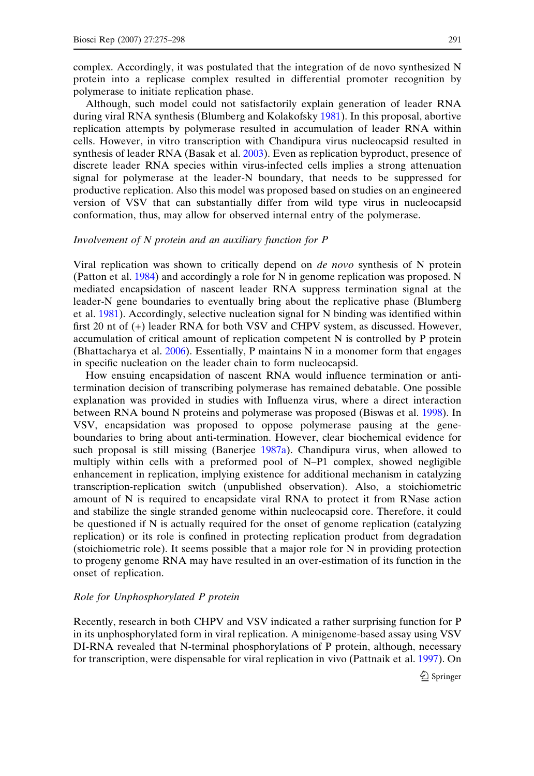complex. Accordingly, it was postulated that the integration of de novo synthesized N protein into a replicase complex resulted in differential promoter recognition by polymerase to initiate replication phase.

Although, such model could not satisfactorily explain generation of leader RNA during viral RNA synthesis (Blumberg and Kolakofsky [1981](#page-19-0)). In this proposal, abortive replication attempts by polymerase resulted in accumulation of leader RNA within cells. However, in vitro transcription with Chandipura virus nucleocapsid resulted in synthesis of leader RNA (Basak et al. [2003\)](#page-19-0). Even as replication byproduct, presence of discrete leader RNA species within virus-infected cells implies a strong attenuation signal for polymerase at the leader-N boundary, that needs to be suppressed for productive replication. Also this model was proposed based on studies on an engineered version of VSV that can substantially differ from wild type virus in nucleocapsid conformation, thus, may allow for observed internal entry of the polymerase.

## Involvement of N protein and an auxiliary function for P

Viral replication was shown to critically depend on de novo synthesis of N protein (Patton et al. [1984\)](#page-22-0) and accordingly a role for N in genome replication was proposed. N mediated encapsidation of nascent leader RNA suppress termination signal at the leader-N gene boundaries to eventually bring about the replicative phase (Blumberg et al. [1981](#page-19-0)). Accordingly, selective nucleation signal for N binding was identified within first 20 nt of (+) leader RNA for both VSV and CHPV system, as discussed. However, accumulation of critical amount of replication competent N is controlled by P protein (Bhattacharya et al. [2006](#page-19-0)). Essentially, P maintains N in a monomer form that engages in specific nucleation on the leader chain to form nucleocapsid.

How ensuing encapsidation of nascent RNA would influence termination or antitermination decision of transcribing polymerase has remained debatable. One possible explanation was provided in studies with Influenza virus, where a direct interaction between RNA bound N proteins and polymerase was proposed (Biswas et al. [1998](#page-19-0)). In VSV, encapsidation was proposed to oppose polymerase pausing at the geneboundaries to bring about anti-termination. However, clear biochemical evidence for such proposal is still missing (Banerjee [1987a\)](#page-19-0). Chandipura virus, when allowed to multiply within cells with a preformed pool of N–P1 complex, showed negligible enhancement in replication, implying existence for additional mechanism in catalyzing transcription-replication switch (unpublished observation). Also, a stoichiometric amount of N is required to encapsidate viral RNA to protect it from RNase action and stabilize the single stranded genome within nucleocapsid core. Therefore, it could be questioned if N is actually required for the onset of genome replication (catalyzing replication) or its role is confined in protecting replication product from degradation (stoichiometric role). It seems possible that a major role for N in providing protection to progeny genome RNA may have resulted in an over-estimation of its function in the onset of replication.

# Role for Unphosphorylated P protein

Recently, research in both CHPV and VSV indicated a rather surprising function for P in its unphosphorylated form in viral replication. A minigenome-based assay using VSV DI-RNA revealed that N-terminal phosphorylations of P protein, although, necessary for transcription, were dispensable for viral replication in vivo (Pattnaik et al. [1997\)](#page-22-0). On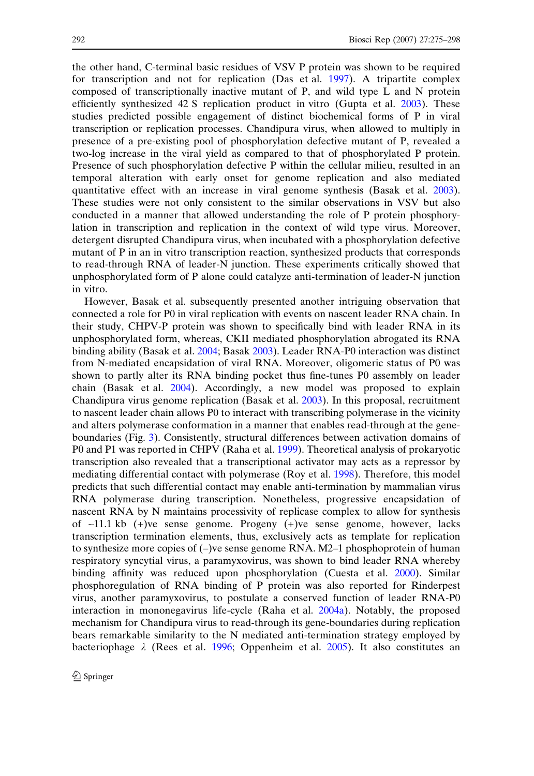the other hand, C-terminal basic residues of VSV P protein was shown to be required for transcription and not for replication (Das et al. [1997\)](#page-20-0). A tripartite complex composed of transcriptionally inactive mutant of P, and wild type L and N protein efficiently synthesized 42 S replication product in vitro (Gupta et al. [2003](#page-21-0)). These studies predicted possible engagement of distinct biochemical forms of P in viral transcription or replication processes. Chandipura virus, when allowed to multiply in presence of a pre-existing pool of phosphorylation defective mutant of P, revealed a two-log increase in the viral yield as compared to that of phosphorylated P protein. Presence of such phosphorylation defective P within the cellular milieu, resulted in an temporal alteration with early onset for genome replication and also mediated quantitative effect with an increase in viral genome synthesis (Basak et al. [2003\)](#page-19-0). These studies were not only consistent to the similar observations in VSV but also conducted in a manner that allowed understanding the role of P protein phosphorylation in transcription and replication in the context of wild type virus. Moreover, detergent disrupted Chandipura virus, when incubated with a phosphorylation defective mutant of P in an in vitro transcription reaction, synthesized products that corresponds to read-through RNA of leader-N junction. These experiments critically showed that unphosphorylated form of P alone could catalyze anti-termination of leader-N junction in vitro.

However, Basak et al. subsequently presented another intriguing observation that connected a role for P0 in viral replication with events on nascent leader RNA chain. In their study, CHPV-P protein was shown to specifically bind with leader RNA in its unphosphorylated form, whereas, CKII mediated phosphorylation abrogated its RNA binding ability (Basak et al. [2004;](#page-19-0) Basak [2003](#page-19-0)). Leader RNA-P0 interaction was distinct from N-mediated encapsidation of viral RNA. Moreover, oligomeric status of P0 was shown to partly alter its RNA binding pocket thus fine-tunes P0 assembly on leader chain (Basak et al. [2004](#page-19-0)). Accordingly, a new model was proposed to explain Chandipura virus genome replication (Basak et al. [2003](#page-19-0)). In this proposal, recruitment to nascent leader chain allows P0 to interact with transcribing polymerase in the vicinity and alters polymerase conformation in a manner that enables read-through at the geneboundaries (Fig. [3\)](#page-12-0). Consistently, structural differences between activation domains of P0 and P1 was reported in CHPV (Raha et al. [1999](#page-22-0)). Theoretical analysis of prokaryotic transcription also revealed that a transcriptional activator may acts as a repressor by mediating differential contact with polymerase (Roy et al. [1998\)](#page-22-0). Therefore, this model predicts that such differential contact may enable anti-termination by mammalian virus RNA polymerase during transcription. Nonetheless, progressive encapsidation of nascent RNA by N maintains processivity of replicase complex to allow for synthesis of  $\sim$ 11.1 kb (+)ve sense genome. Progeny (+)ve sense genome, however, lacks transcription termination elements, thus, exclusively acts as template for replication to synthesize more copies of (–)ve sense genome RNA. M2–1 phosphoprotein of human respiratory syncytial virus, a paramyxovirus, was shown to bind leader RNA whereby binding affinity was reduced upon phosphorylation (Cuesta et al. [2000](#page-20-0)). Similar phosphoregulation of RNA binding of P protein was also reported for Rinderpest virus, another paramyxovirus, to postulate a conserved function of leader RNA-P0 interaction in mononegavirus life-cycle (Raha et al. [2004a](#page-22-0)). Notably, the proposed mechanism for Chandipura virus to read-through its gene-boundaries during replication bears remarkable similarity to the N mediated anti-termination strategy employed by bacteriophage  $\lambda$  (Rees et al. [1996](#page-22-0); Oppenheim et al. [2005](#page-22-0)). It also constitutes an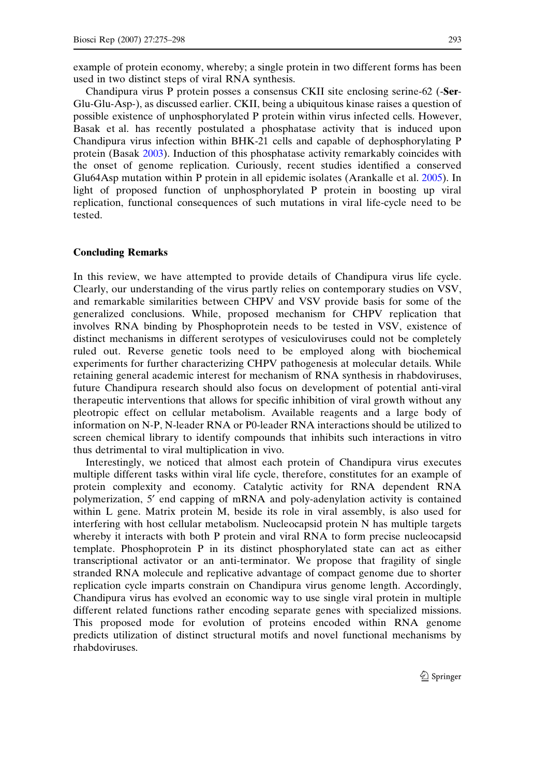example of protein economy, whereby; a single protein in two different forms has been used in two distinct steps of viral RNA synthesis.

Chandipura virus P protein posses a consensus CKII site enclosing serine-62 (-Ser-Glu-Glu-Asp-), as discussed earlier. CKII, being a ubiquitous kinase raises a question of possible existence of unphosphorylated P protein within virus infected cells. However, Basak et al. has recently postulated a phosphatase activity that is induced upon Chandipura virus infection within BHK-21 cells and capable of dephosphorylating P protein (Basak [2003\)](#page-19-0). Induction of this phosphatase activity remarkably coincides with the onset of genome replication. Curiously, recent studies identified a conserved Glu64Asp mutation within P protein in all epidemic isolates (Arankalle et al. [2005](#page-19-0)). In light of proposed function of unphosphorylated P protein in boosting up viral replication, functional consequences of such mutations in viral life-cycle need to be tested.

#### Concluding Remarks

In this review, we have attempted to provide details of Chandipura virus life cycle. Clearly, our understanding of the virus partly relies on contemporary studies on VSV, and remarkable similarities between CHPV and VSV provide basis for some of the generalized conclusions. While, proposed mechanism for CHPV replication that involves RNA binding by Phosphoprotein needs to be tested in VSV, existence of distinct mechanisms in different serotypes of vesiculoviruses could not be completely ruled out. Reverse genetic tools need to be employed along with biochemical experiments for further characterizing CHPV pathogenesis at molecular details. While retaining general academic interest for mechanism of RNA synthesis in rhabdoviruses, future Chandipura research should also focus on development of potential anti-viral therapeutic interventions that allows for specific inhibition of viral growth without any pleotropic effect on cellular metabolism. Available reagents and a large body of information on N-P, N-leader RNA or P0-leader RNA interactions should be utilized to screen chemical library to identify compounds that inhibits such interactions in vitro thus detrimental to viral multiplication in vivo.

Interestingly, we noticed that almost each protein of Chandipura virus executes multiple different tasks within viral life cycle, therefore, constitutes for an example of protein complexity and economy. Catalytic activity for RNA dependent RNA polymerization, 5¢ end capping of mRNA and poly-adenylation activity is contained within L gene. Matrix protein M, beside its role in viral assembly, is also used for interfering with host cellular metabolism. Nucleocapsid protein N has multiple targets whereby it interacts with both P protein and viral RNA to form precise nucleocapsid template. Phosphoprotein P in its distinct phosphorylated state can act as either transcriptional activator or an anti-terminator. We propose that fragility of single stranded RNA molecule and replicative advantage of compact genome due to shorter replication cycle imparts constrain on Chandipura virus genome length. Accordingly, Chandipura virus has evolved an economic way to use single viral protein in multiple different related functions rather encoding separate genes with specialized missions. This proposed mode for evolution of proteins encoded within RNA genome predicts utilization of distinct structural motifs and novel functional mechanisms by rhabdoviruses.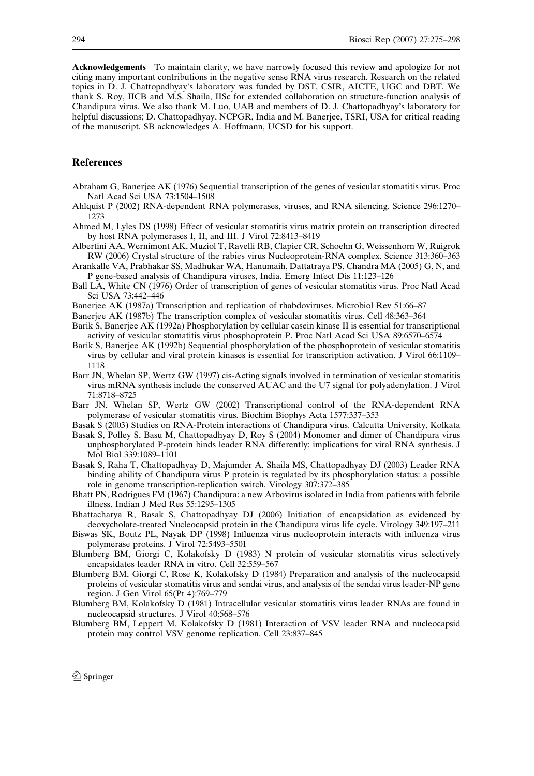<span id="page-19-0"></span>Acknowledgements To maintain clarity, we have narrowly focused this review and apologize for not citing many important contributions in the negative sense RNA virus research. Research on the related topics in D. J. Chattopadhyay's laboratory was funded by DST, CSIR, AICTE, UGC and DBT. We thank S. Roy, IICB and M.S. Shaila, IISc for extended collaboration on structure-function analysis of Chandipura virus. We also thank M. Luo, UAB and members of D. J. Chattopadhyay's laboratory for helpful discussions; D. Chattopadhyay, NCPGR, India and M. Banerjee, TSRI, USA for critical reading of the manuscript. SB acknowledges A. Hoffmann, UCSD for his support.

# References

- Abraham G, Banerjee AK (1976) Sequential transcription of the genes of vesicular stomatitis virus. Proc Natl Acad Sci USA 73:1504–1508
- Ahlquist P (2002) RNA-dependent RNA polymerases, viruses, and RNA silencing. Science 296:1270– 1273
- Ahmed M, Lyles DS (1998) Effect of vesicular stomatitis virus matrix protein on transcription directed by host RNA polymerases I, II, and III. J Virol 72:8413–8419
- Albertini AA, Wernimont AK, Muziol T, Ravelli RB, Clapier CR, Schoehn G, Weissenhorn W, Ruigrok RW (2006) Crystal structure of the rabies virus Nucleoprotein-RNA complex. Science 313:360–363
- Arankalle VA, Prabhakar SS, Madhukar WA, Hanumaih, Dattatraya PS, Chandra MA (2005) G, N, and P gene-based analysis of Chandipura viruses, India. Emerg Infect Dis 11:123–126
- Ball LA, White CN (1976) Order of transcription of genes of vesicular stomatitis virus. Proc Natl Acad Sci USA 73:442–446
- Banerjee AK (1987a) Transcription and replication of rhabdoviruses. Microbiol Rev 51:66–87

Banerjee AK (1987b) The transcription complex of vesicular stomatitis virus. Cell 48:363–364

- Barik S, Banerjee AK (1992a) Phosphorylation by cellular casein kinase II is essential for transcriptional activity of vesicular stomatitis virus phosphoprotein P. Proc Natl Acad Sci USA 89:6570–6574
- Barik S, Banerjee AK (1992b) Sequential phosphorylation of the phosphoprotein of vesicular stomatitis virus by cellular and viral protein kinases is essential for transcription activation. J Virol 66:1109– 1118
- Barr JN, Whelan SP, Wertz GW (1997) cis-Acting signals involved in termination of vesicular stomatitis virus mRNA synthesis include the conserved AUAC and the U7 signal for polyadenylation. J Virol 71:8718–8725
- Barr JN, Whelan SP, Wertz GW (2002) Transcriptional control of the RNA-dependent RNA polymerase of vesicular stomatitis virus. Biochim Biophys Acta 1577:337–353
- Basak S (2003) Studies on RNA-Protein interactions of Chandipura virus. Calcutta University, Kolkata
- Basak S, Polley S, Basu M, Chattopadhyay D, Roy S (2004) Monomer and dimer of Chandipura virus unphosphorylated P-protein binds leader RNA differently: implications for viral RNA synthesis. J Mol Biol 339:1089–1101
- Basak S, Raha T, Chattopadhyay D, Majumder A, Shaila MS, Chattopadhyay DJ (2003) Leader RNA binding ability of Chandipura virus P protein is regulated by its phosphorylation status: a possible role in genome transcription-replication switch. Virology 307:372–385
- Bhatt PN, Rodrigues FM (1967) Chandipura: a new Arbovirus isolated in India from patients with febrile illness. Indian J Med Res 55:1295–1305
- Bhattacharya R, Basak S, Chattopadhyay DJ (2006) Initiation of encapsidation as evidenced by deoxycholate-treated Nucleocapsid protein in the Chandipura virus life cycle. Virology 349:197–211
- Biswas SK, Boutz PL, Nayak DP (1998) Influenza virus nucleoprotein interacts with influenza virus polymerase proteins. J Virol 72:5493–5501
- Blumberg BM, Giorgi C, Kolakofsky D (1983) N protein of vesicular stomatitis virus selectively encapsidates leader RNA in vitro. Cell 32:559–567
- Blumberg BM, Giorgi C, Rose K, Kolakofsky D (1984) Preparation and analysis of the nucleocapsid proteins of vesicular stomatitis virus and sendai virus, and analysis of the sendai virus leader-NP gene region. J Gen Virol 65(Pt 4):769–779
- Blumberg BM, Kolakofsky D (1981) Intracellular vesicular stomatitis virus leader RNAs are found in nucleocapsid structures. J Virol 40:568–576
- Blumberg BM, Leppert M, Kolakofsky D (1981) Interaction of VSV leader RNA and nucleocapsid protein may control VSV genome replication. Cell 23:837–845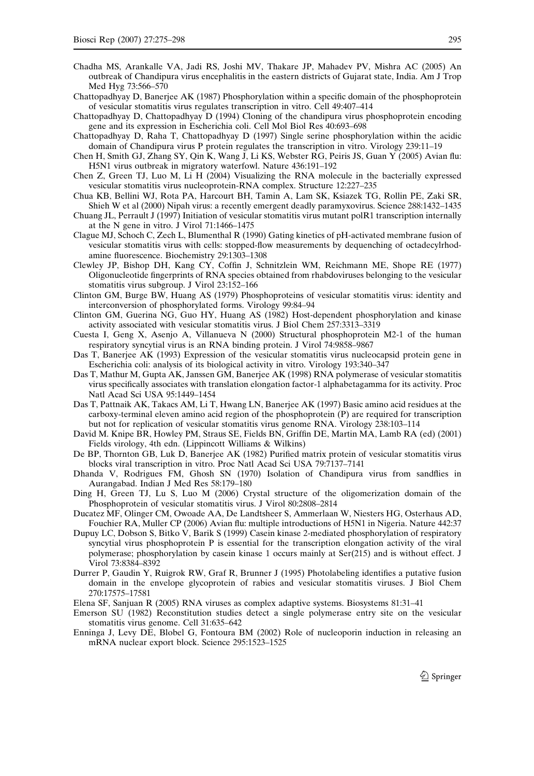- <span id="page-20-0"></span>Chadha MS, Arankalle VA, Jadi RS, Joshi MV, Thakare JP, Mahadev PV, Mishra AC (2005) An outbreak of Chandipura virus encephalitis in the eastern districts of Gujarat state, India. Am J Trop Med Hyg 73:566–570
- Chattopadhyay D, Banerjee AK (1987) Phosphorylation within a specific domain of the phosphoprotein of vesicular stomatitis virus regulates transcription in vitro. Cell 49:407–414
- Chattopadhyay D, Chattopadhyay D (1994) Cloning of the chandipura virus phosphoprotein encoding gene and its expression in Escherichia coli. Cell Mol Biol Res 40:693–698
- Chattopadhyay D, Raha T, Chattopadhyay D (1997) Single serine phosphorylation within the acidic domain of Chandipura virus P protein regulates the transcription in vitro. Virology 239:11–19

Chen H, Smith GJ, Zhang SY, Qin K, Wang J, Li KS, Webster RG, Peiris JS, Guan Y (2005) Avian flu: H5N1 virus outbreak in migratory waterfowl. Nature 436:191–192

- Chen Z, Green TJ, Luo M, Li H (2004) Visualizing the RNA molecule in the bacterially expressed vesicular stomatitis virus nucleoprotein-RNA complex. Structure 12:227–235
- Chua KB, Bellini WJ, Rota PA, Harcourt BH, Tamin A, Lam SK, Ksiazek TG, Rollin PE, Zaki SR, Shieh W et al (2000) Nipah virus: a recently emergent deadly paramyxovirus. Science 288:1432–1435
- Chuang JL, Perrault J (1997) Initiation of vesicular stomatitis virus mutant polR1 transcription internally at the N gene in vitro. J Virol 71:1466–1475
- Clague MJ, Schoch C, Zech L, Blumenthal R (1990) Gating kinetics of pH-activated membrane fusion of vesicular stomatitis virus with cells: stopped-flow measurements by dequenching of octadecylrhodamine fluorescence. Biochemistry 29:1303–1308
- Clewley JP, Bishop DH, Kang CY, Coffin J, Schnitzlein WM, Reichmann ME, Shope RE (1977) Oligonucleotide fingerprints of RNA species obtained from rhabdoviruses belonging to the vesicular stomatitis virus subgroup. J Virol 23:152–166
- Clinton GM, Burge BW, Huang AS (1979) Phosphoproteins of vesicular stomatitis virus: identity and interconversion of phosphorylated forms. Virology 99:84–94
- Clinton GM, Guerina NG, Guo HY, Huang AS (1982) Host-dependent phosphorylation and kinase activity associated with vesicular stomatitis virus. J Biol Chem 257:3313–3319
- Cuesta I, Geng X, Asenjo A, Villanueva N (2000) Structural phosphoprotein M2-1 of the human respiratory syncytial virus is an RNA binding protein. J Virol 74:9858–9867
- Das T, Banerjee AK (1993) Expression of the vesicular stomatitis virus nucleocapsid protein gene in Escherichia coli: analysis of its biological activity in vitro. Virology 193:340–347
- Das T, Mathur M, Gupta AK, Janssen GM, Banerjee AK (1998) RNA polymerase of vesicular stomatitis virus specifically associates with translation elongation factor-1 alphabetagamma for its activity. Proc Natl Acad Sci USA 95:1449–1454
- Das T, Pattnaik AK, Takacs AM, Li T, Hwang LN, Banerjee AK (1997) Basic amino acid residues at the carboxy-terminal eleven amino acid region of the phosphoprotein (P) are required for transcription but not for replication of vesicular stomatitis virus genome RNA. Virology 238:103–114
- David M. Knipe BR, Howley PM, Straus SE, Fields BN, Griffin DE, Martin MA, Lamb RA (ed) (2001) Fields virology, 4th edn. (Lippincott Williams & Wilkins)
- De BP, Thornton GB, Luk D, Banerjee AK (1982) Purified matrix protein of vesicular stomatitis virus blocks viral transcription in vitro. Proc Natl Acad Sci USA 79:7137–7141
- Dhanda V, Rodrigues FM, Ghosh SN (1970) Isolation of Chandipura virus from sandflies in Aurangabad. Indian J Med Res 58:179–180
- Ding H, Green TJ, Lu S, Luo M (2006) Crystal structure of the oligomerization domain of the Phosphoprotein of vesicular stomatitis virus. J Virol 80:2808–2814
- Ducatez MF, Olinger CM, Owoade AA, De Landtsheer S, Ammerlaan W, Niesters HG, Osterhaus AD, Fouchier RA, Muller CP (2006) Avian flu: multiple introductions of H5N1 in Nigeria. Nature 442:37
- Dupuy LC, Dobson S, Bitko V, Barik S (1999) Casein kinase 2-mediated phosphorylation of respiratory syncytial virus phosphoprotein P is essential for the transcription elongation activity of the viral polymerase; phosphorylation by casein kinase 1 occurs mainly at Ser(215) and is without effect. J Virol 73:8384–8392
- Durrer P, Gaudin Y, Ruigrok RW, Graf R, Brunner J (1995) Photolabeling identifies a putative fusion domain in the envelope glycoprotein of rabies and vesicular stomatitis viruses. J Biol Chem 270:17575–17581
- Elena SF, Sanjuan R (2005) RNA viruses as complex adaptive systems. Biosystems 81:31–41
- Emerson SU (1982) Reconstitution studies detect a single polymerase entry site on the vesicular stomatitis virus genome. Cell 31:635–642
- Enninga J, Levy DE, Blobel G, Fontoura BM (2002) Role of nucleoporin induction in releasing an mRNA nuclear export block. Science 295:1523–1525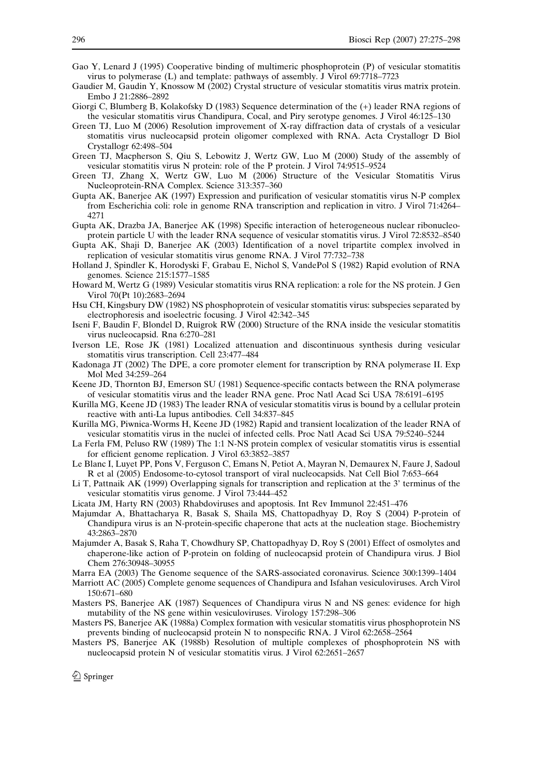- <span id="page-21-0"></span>Gao Y, Lenard J (1995) Cooperative binding of multimeric phosphoprotein (P) of vesicular stomatitis virus to polymerase (L) and template: pathways of assembly. J Virol 69:7718–7723
- Gaudier M, Gaudin Y, Knossow M (2002) Crystal structure of vesicular stomatitis virus matrix protein. Embo J 21:2886–2892
- Giorgi C, Blumberg B, Kolakofsky D (1983) Sequence determination of the (+) leader RNA regions of the vesicular stomatitis virus Chandipura, Cocal, and Piry serotype genomes. J Virol 46:125–130
- Green TJ, Luo M (2006) Resolution improvement of X-ray diffraction data of crystals of a vesicular stomatitis virus nucleocapsid protein oligomer complexed with RNA. Acta Crystallogr D Biol Crystallogr 62:498–504
- Green TJ, Macpherson S, Qiu S, Lebowitz J, Wertz GW, Luo M (2000) Study of the assembly of vesicular stomatitis virus N protein: role of the P protein. J Virol 74:9515–9524
- Green TJ, Zhang X, Wertz GW, Luo M (2006) Structure of the Vesicular Stomatitis Virus Nucleoprotein-RNA Complex. Science 313:357–360
- Gupta AK, Banerjee AK (1997) Expression and purification of vesicular stomatitis virus N-P complex from Escherichia coli: role in genome RNA transcription and replication in vitro. J Virol 71:4264– 4271
- Gupta AK, Drazba JA, Banerjee AK (1998) Specific interaction of heterogeneous nuclear ribonucleoprotein particle U with the leader RNA sequence of vesicular stomatitis virus. J Virol 72:8532–8540
- Gupta AK, Shaji D, Banerjee AK (2003) Identification of a novel tripartite complex involved in replication of vesicular stomatitis virus genome RNA. J Virol 77:732–738
- Holland J, Spindler K, Horodyski F, Grabau E, Nichol S, VandePol S (1982) Rapid evolution of RNA genomes. Science 215:1577–1585
- Howard M, Wertz G (1989) Vesicular stomatitis virus RNA replication: a role for the NS protein. J Gen Virol 70(Pt 10):2683–2694
- Hsu CH, Kingsbury DW (1982) NS phosphoprotein of vesicular stomatitis virus: subspecies separated by electrophoresis and isoelectric focusing. J Virol 42:342–345
- Iseni F, Baudin F, Blondel D, Ruigrok RW (2000) Structure of the RNA inside the vesicular stomatitis virus nucleocapsid. Rna 6:270–281
- Iverson LE, Rose JK (1981) Localized attenuation and discontinuous synthesis during vesicular stomatitis virus transcription. Cell 23:477–484
- Kadonaga JT (2002) The DPE, a core promoter element for transcription by RNA polymerase II. Exp Mol Med 34:259–264
- Keene JD, Thornton BJ, Emerson SU (1981) Sequence-specific contacts between the RNA polymerase of vesicular stomatitis virus and the leader RNA gene. Proc Natl Acad Sci USA 78:6191–6195
- Kurilla MG, Keene JD (1983) The leader RNA of vesicular stomatitis virus is bound by a cellular protein reactive with anti-La lupus antibodies. Cell 34:837–845
- Kurilla MG, Piwnica-Worms H, Keene JD (1982) Rapid and transient localization of the leader RNA of vesicular stomatitis virus in the nuclei of infected cells. Proc Natl Acad Sci USA 79:5240–5244
- La Ferla FM, Peluso RW (1989) The 1:1 N-NS protein complex of vesicular stomatitis virus is essential for efficient genome replication. J Virol 63:3852–3857
- Le Blanc I, Luyet PP, Pons V, Ferguson C, Emans N, Petiot A, Mayran N, Demaurex N, Faure J, Sadoul R et al (2005) Endosome-to-cytosol transport of viral nucleocapsids. Nat Cell Biol 7:653–664
- Li T, Pattnaik AK (1999) Overlapping signals for transcription and replication at the 3' terminus of the vesicular stomatitis virus genome. J Virol 73:444–452
- Licata JM, Harty RN (2003) Rhabdoviruses and apoptosis. Int Rev Immunol 22:451–476
- Majumdar A, Bhattacharya R, Basak S, Shaila MS, Chattopadhyay D, Roy S (2004) P-protein of Chandipura virus is an N-protein-specific chaperone that acts at the nucleation stage. Biochemistry 43:2863–2870
- Majumder A, Basak S, Raha T, Chowdhury SP, Chattopadhyay D, Roy S (2001) Effect of osmolytes and chaperone-like action of P-protein on folding of nucleocapsid protein of Chandipura virus. J Biol Chem 276:30948–30955
- Marra EA (2003) The Genome sequence of the SARS-associated coronavirus. Science 300:1399–1404
- Marriott AC (2005) Complete genome sequences of Chandipura and Isfahan vesiculoviruses. Arch Virol 150:671–680
- Masters PS, Banerjee AK (1987) Sequences of Chandipura virus N and NS genes: evidence for high mutability of the NS gene within vesiculoviruses. Virology 157:298–306
- Masters PS, Banerjee AK (1988a) Complex formation with vesicular stomatitis virus phosphoprotein NS prevents binding of nucleocapsid protein N to nonspecific RNA. J Virol 62:2658–2564
- Masters PS, Banerjee AK (1988b) Resolution of multiple complexes of phosphoprotein NS with nucleocapsid protein N of vesicular stomatitis virus. J Virol 62:2651–2657

 $\bigcirc$  Springer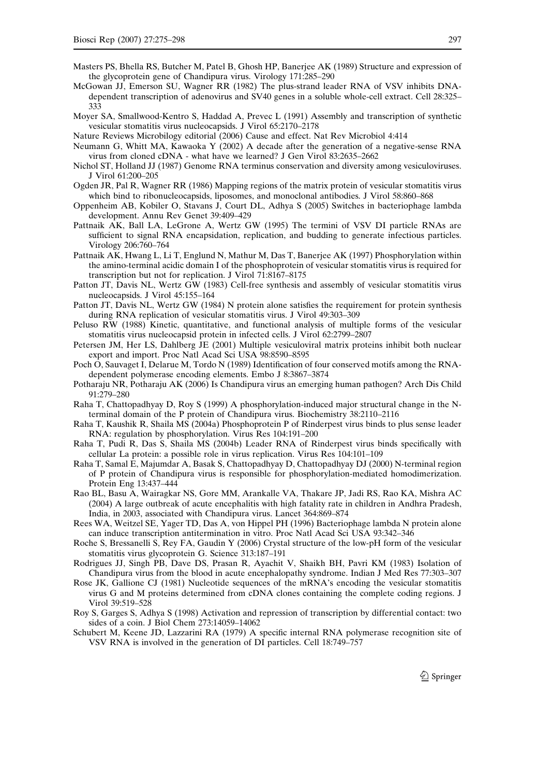- <span id="page-22-0"></span>Masters PS, Bhella RS, Butcher M, Patel B, Ghosh HP, Banerjee AK (1989) Structure and expression of the glycoprotein gene of Chandipura virus. Virology 171:285–290
- McGowan JJ, Emerson SU, Wagner RR (1982) The plus-strand leader RNA of VSV inhibits DNAdependent transcription of adenovirus and SV40 genes in a soluble whole-cell extract. Cell 28:325– 333
- Moyer SA, Smallwood-Kentro S, Haddad A, Prevec L (1991) Assembly and transcription of synthetic vesicular stomatitis virus nucleocapsids. J Virol 65:2170–2178
- Nature Reviews Microbilogy editorial (2006) Cause and effect. Nat Rev Microbiol 4:414
- Neumann G, Whitt MA, Kawaoka Y (2002) A decade after the generation of a negative-sense RNA virus from cloned cDNA - what have we learned? J Gen Virol 83:2635–2662
- Nichol ST, Holland JJ (1987) Genome RNA terminus conservation and diversity among vesiculoviruses. J Virol 61:200–205
- Ogden JR, Pal R, Wagner RR (1986) Mapping regions of the matrix protein of vesicular stomatitis virus which bind to ribonucleocapsids, liposomes, and monoclonal antibodies. J Virol 58:860–868
- Oppenheim AB, Kobiler O, Stavans J, Court DL, Adhya S (2005) Switches in bacteriophage lambda development. Annu Rev Genet 39:409–429
- Pattnaik AK, Ball LA, LeGrone A, Wertz GW (1995) The termini of VSV DI particle RNAs are sufficient to signal RNA encapsidation, replication, and budding to generate infectious particles. Virology 206:760–764
- Pattnaik AK, Hwang L, Li T, Englund N, Mathur M, Das T, Banerjee AK (1997) Phosphorylation within the amino-terminal acidic domain I of the phosphoprotein of vesicular stomatitis virus is required for transcription but not for replication. J Virol 71:8167–8175
- Patton JT, Davis NL, Wertz GW (1983) Cell-free synthesis and assembly of vesicular stomatitis virus nucleocapsids. J Virol 45:155–164
- Patton JT, Davis NL, Wertz GW (1984) N protein alone satisfies the requirement for protein synthesis during RNA replication of vesicular stomatitis virus. J Virol 49:303–309
- Peluso RW (1988) Kinetic, quantitative, and functional analysis of multiple forms of the vesicular stomatitis virus nucleocapsid protein in infected cells. J Virol 62:2799–2807
- Petersen JM, Her LS, Dahlberg JE (2001) Multiple vesiculoviral matrix proteins inhibit both nuclear export and import. Proc Natl Acad Sci USA 98:8590–8595
- Poch O, Sauvaget I, Delarue M, Tordo N (1989) Identification of four conserved motifs among the RNAdependent polymerase encoding elements. Embo J 8:3867–3874
- Potharaju NR, Potharaju AK (2006) Is Chandipura virus an emerging human pathogen? Arch Dis Child 91:279–280
- Raha T, Chattopadhyay D, Roy S (1999) A phosphorylation-induced major structural change in the Nterminal domain of the P protein of Chandipura virus. Biochemistry 38:2110–2116
- Raha T, Kaushik R, Shaila MS (2004a) Phosphoprotein P of Rinderpest virus binds to plus sense leader RNA: regulation by phosphorylation. Virus Res 104:191–200
- Raha T, Pudi R, Das S, Shaila MS (2004b) Leader RNA of Rinderpest virus binds specifically with cellular La protein: a possible role in virus replication. Virus Res 104:101–109
- Raha T, Samal E, Majumdar A, Basak S, Chattopadhyay D, Chattopadhyay DJ (2000) N-terminal region of P protein of Chandipura virus is responsible for phosphorylation-mediated homodimerization. Protein Eng 13:437–444
- Rao BL, Basu A, Wairagkar NS, Gore MM, Arankalle VA, Thakare JP, Jadi RS, Rao KA, Mishra AC (2004) A large outbreak of acute encephalitis with high fatality rate in children in Andhra Pradesh, India, in 2003, associated with Chandipura virus. Lancet 364:869–874
- Rees WA, Weitzel SE, Yager TD, Das A, von Hippel PH (1996) Bacteriophage lambda N protein alone can induce transcription antitermination in vitro. Proc Natl Acad Sci USA 93:342–346
- Roche S, Bressanelli S, Rey FA, Gaudin Y (2006) Crystal structure of the low-pH form of the vesicular stomatitis virus glycoprotein G. Science 313:187–191
- Rodrigues JJ, Singh PB, Dave DS, Prasan R, Ayachit V, Shaikh BH, Pavri KM (1983) Isolation of Chandipura virus from the blood in acute encephalopathy syndrome. Indian J Med Res 77:303–307
- Rose JK, Gallione CJ (1981) Nucleotide sequences of the mRNA's encoding the vesicular stomatitis virus G and M proteins determined from cDNA clones containing the complete coding regions. J Virol 39:519–528
- Roy S, Garges S, Adhya S (1998) Activation and repression of transcription by differential contact: two sides of a coin. J Biol Chem 273:14059–14062
- Schubert M, Keene JD, Lazzarini RA (1979) A specific internal RNA polymerase recognition site of VSV RNA is involved in the generation of DI particles. Cell 18:749–757